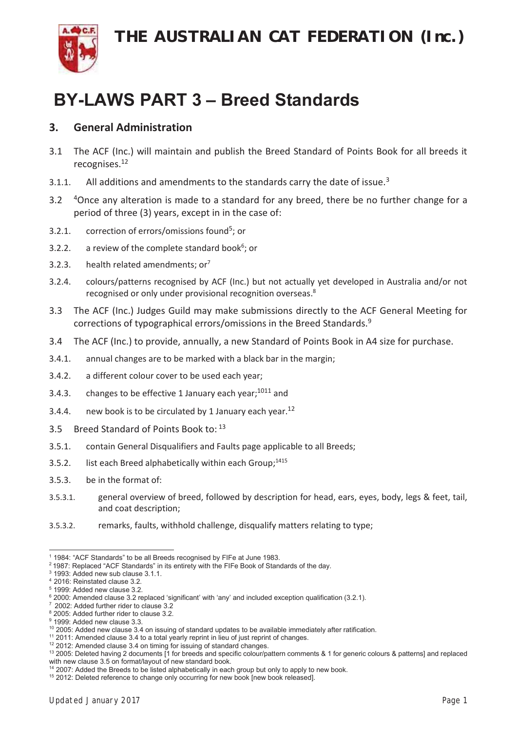**THE AUSTRALIAN CAT FEDERATION (Inc.)** 



#### **BY-LAWS PART 3 - Breed Standards**

#### **3. General Administration**

- 3.1 The ACF (Inc.) will maintain and publish the Breed Standard of Points Book for all breeds it recognises.12
- 3.1.1. All additions and amendments to the standards carry the date of issue. $3$
- 3.2 <sup>4</sup>Once any alteration is made to a standard for any breed, there be no further change for a period of three (3) years, except in in the case of:
- 3.2.1. correction of errors/omissions found<sup>5</sup>; or
- 3.2.2. a review of the complete standard book $6$ ; or
- 3.2.3. health related amendments;  $or<sup>7</sup>$
- 3.2.4. colours/patterns recognised by ACF (Inc.) but not actually yet developed in Australia and/or not recognised or only under provisional recognition overseas.<sup>8</sup>
- 3.3 The ACF (Inc.) Judges Guild may make submissions directly to the ACF General Meeting for corrections of typographical errors/omissions in the Breed Standards.9
- 3.4 The ACF (Inc.) to provide, annually, a new Standard of Points Book in A4 size for purchase.
- 3.4.1. annual changes are to be marked with a black bar in the margin;
- 3.4.2. a different colour cover to be used each year;
- 3.4.3. changes to be effective 1 January each year;  $10^{11}$  and
- 3.4.4. new book is to be circulated by 1 January each year.<sup>12</sup>
- 3.5 Breed Standard of Points Book to: 13
- 3.5.1. contain General Disqualifiers and Faults page applicable to all Breeds;
- 3.5.2. list each Breed alphabetically within each Group; $1415$
- 3.5.3. be in the format of:
- 3.5.3.1. general overview of breed, followed by description for head, ears, eyes, body, legs & feet, tail, and coat description;
- 3.5.3.2. remarks, faults, withhold challenge, disqualify matters relating to type;

<sup>&</sup>lt;u> Andreas Andrew Maria (1989)</u>  $1$  1984: "ACF Standards" to be all Breeds recognised by FIFe at June 1983.

<sup>&</sup>lt;sup>2</sup> 1987: Replaced "ACF Standards" in its entirety with the FIFe Book of Standards of the day.

 $3$  1993: Added new sub clause 3.1.1.

<sup>&</sup>lt;sup>4</sup> 2016: Reinstated clause 3.2.

 $5$  1999: Added new clause 3.2.

 $6$  2000: Amended clause 3.2 replaced 'significant' with 'any' and included exception qualification (3.2.1).

<sup>2002:</sup> Added further rider to clause 3.2

 $8$  2005: Added further rider to clause 3.2.  $9$  1999: Added new clause 3.3.

 $10$  2005: Added new clause 3.4 on issuing of standard updates to be available immediately after ratification.

 $11$  2011: Amended clause 3.4 to a total yearly reprint in lieu of just reprint of changes.

 $12$  2012: Amended clause 3.4 on timing for issuing of standard changes.

<sup>&</sup>lt;sup>13</sup> 2005: Deleted having 2 documents [1 for breeds and specific colour/pattern comments & 1 for generic colours & patterns] and replaced with new clause 3.5 on format/layout of new standard book.

 $14$  2007: Added the Breeds to be listed alphabetically in each group but only to apply to new book.

<sup>&</sup>lt;sup>15</sup> 2012: Deleted reference to change only occurring for new book [new book released].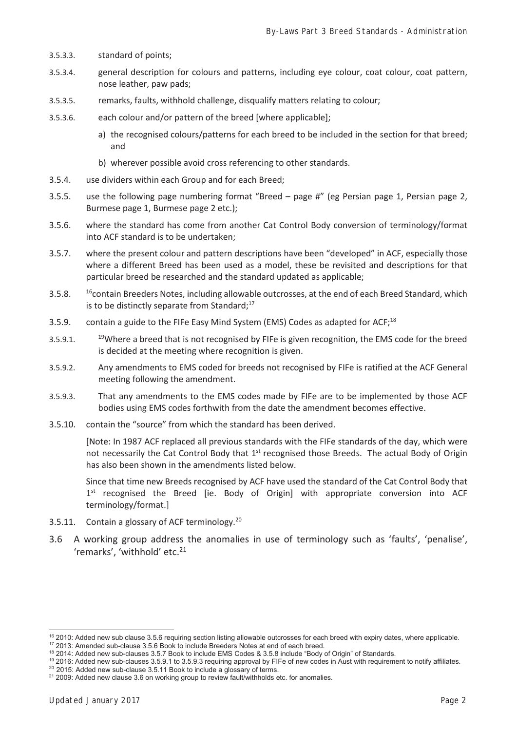- 3.5.3.3. standard of points;
- 3.5.3.4. general description for colours and patterns, including eye colour, coat colour, coat pattern, nose leather, paw pads;
- 3.5.3.5. remarks, faults, withhold challenge, disqualify matters relating to colour;
- 3.5.3.6. each colour and/or pattern of the breed [where applicable];
	- a) the recognised colours/patterns for each breed to be included in the section for that breed; and
	- b) wherever possible avoid cross referencing to other standards.
- 3.5.4. use dividers within each Group and for each Breed;
- 3.5.5. use the following page numbering format "Breed page #" (eg Persian page 1, Persian page 2, Burmese page 1, Burmese page 2 etc.);
- 3.5.6. where the standard has come from another Cat Control Body conversion of terminology/format into ACF standard is to be undertaken;
- 3.5.7. where the present colour and pattern descriptions have been "developed" in ACF, especially those where a different Breed has been used as a model, these be revisited and descriptions for that particular breed be researched and the standard updated as applicable;
- 3.5.8. <sup>16</sup>contain Breeders Notes, including allowable outcrosses, at the end of each Breed Standard, which is to be distinctly separate from Standard;<sup>17</sup>
- 3.5.9. contain a guide to the FIFe Easy Mind System (EMS) Codes as adapted for ACF;<sup>18</sup>
- 3.5.9.1. <sup>19</sup>Where a breed that is not recognised by FIFe is given recognition, the EMS code for the breed is decided at the meeting where recognition is given.
- 3.5.9.2. Any amendments to EMS coded for breeds not recognised by FIFe is ratified at the ACF General meeting following the amendment.
- 3.5.9.3. That any amendments to the EMS codes made by FIFe are to be implemented by those ACF bodies using EMS codes forthwith from the date the amendment becomes effective.
- 3.5.10. contain the "source" from which the standard has been derived.

[Note: In 1987 ACF replaced all previous standards with the FIFe standards of the day, which were not necessarily the Cat Control Body that 1<sup>st</sup> recognised those Breeds. The actual Body of Origin has also been shown in the amendments listed below.

Since that time new Breeds recognised by ACF have used the standard of the Cat Control Body that 1st recognised the Breed [ie. Body of Origin] with appropriate conversion into ACF terminology/format.]

- 3.5.11. Contain a glossary of ACF terminology.<sup>20</sup>
- 3.6 A working group address the anomalies in use of terminology such as 'faults', 'penalise', 'remarks', 'withhold' etc.<sup>21</sup>

<u> Andreas Andrew Maria (1989)</u>

 $16$  2010: Added new sub clause 3.5.6 requiring section listing allowable outcrosses for each breed with expiry dates, where applicable. <sup>17</sup> 2013: Amended sub-clause 3.5.6 Book to include Breeders Notes at end of each breed.

 $18$  2014: Added new sub-clauses 3.5.7 Book to include EMS Codes & 3.5.8 include "Body of Origin" of Standards.

<sup>&</sup>lt;sup>19</sup> 2016: Added new sub-clauses 3.5.9.1 to 3.5.9.3 requiring approval by FIFe of new codes in Aust with requirement to notify affiliates.

 $20$  2015: Added new sub-clause 3.5.11 Book to include a glossary of terms.

<sup>&</sup>lt;sup>21</sup> 2009: Added new clause 3.6 on working group to review fault/withholds etc. for anomalies.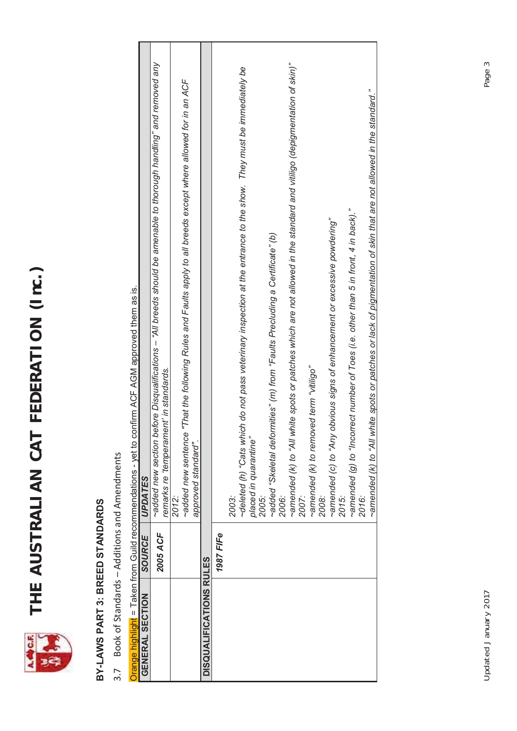

# **THE AUSTRALIAN CAT FEDERATION (Inc.)**  THE AUSTRALIAN CAT FEDERATION (Inc.)

## BY-LAWS PART 3: BREED STANDARDS **BY-LAWS PART 3: BREED STANDARDS**

3.7 Book of Standards - Additions and Amendments Book of Standards – Additions and Amendments

Orange highlight = Taken from Guild recommendations - yet to confirm ACF AGM approved them as is. Orange highlight = Taken from Guild recommendations - yet to confirm ACF AGM approved them as is.

| GENERAL SECTION         | SOURCE    | UPDATES                                                                                                                                                          |
|-------------------------|-----------|------------------------------------------------------------------------------------------------------------------------------------------------------------------|
|                         | 2005 ACF  | ifore Disqualifications – "All breeds should be amenable to thorough handling" and removed any<br>remarks re 'temperament' in standards.<br>added new section be |
|                         |           | 2012:                                                                                                                                                            |
|                         |           | "That the following Rules and Faults apply to all breeds except where allowed for in an ACF<br>~added new sentence<br>approved standard".                        |
|                         |           |                                                                                                                                                                  |
| DISQUALIFICATIONS RULES |           |                                                                                                                                                                  |
|                         | 1987 FIFe |                                                                                                                                                                  |
|                         |           | 2003:                                                                                                                                                            |
|                         |           | ~deleted (h) "Cats which do not pass veterinary inspection at the entrance to the show. They must be immediately be                                              |
|                         |           | placed in quarantine"                                                                                                                                            |
|                         |           | 2005.<br>2005.                                                                                                                                                   |
|                         |           | ~added "Skeletal deformities" (m) from "Faults Precluding a Certificate" (b)                                                                                     |
|                         |           | 2006:<br>2                                                                                                                                                       |
|                         |           | ~amended (k) to "All white spots or patches which are not allowed in the standard and vitiligo (depigmentation of skin)"                                         |
|                         |           | 2007:                                                                                                                                                            |
|                         |           | "obilitiv" with pay<br>~amended (k) to remov                                                                                                                     |
|                         |           | 2008:                                                                                                                                                            |
|                         |           | $\sim$ amended (c) to "Any obvious signs of enhancement or excessive powdering"                                                                                  |
|                         |           | 2015:                                                                                                                                                            |
|                         |           | ~amended (g) to "Incorrect number of Toes (i.e. other than 5 in front, 4 in back)."                                                                              |
|                         |           | 2016:                                                                                                                                                            |
|                         |           | -amended (k) to "All white spots or patches or lack of pigmentation of skin that are not allowed in the standard."                                               |
|                         |           |                                                                                                                                                                  |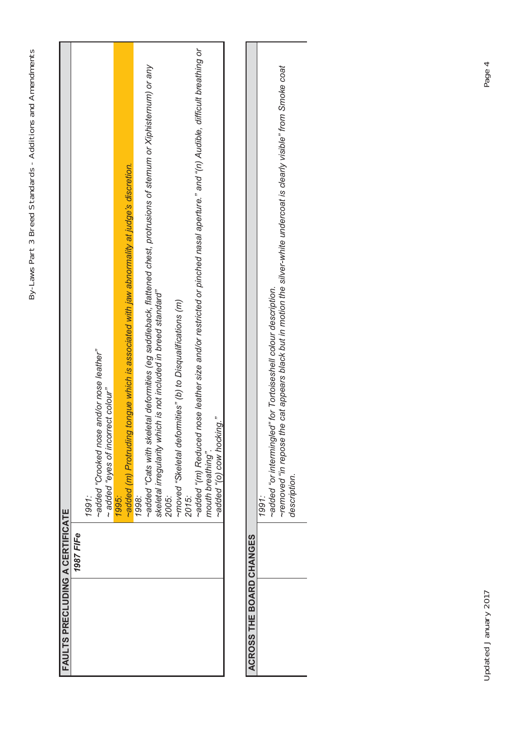| <b>FAULTS PRECLUDING A CERTIFICATE</b> |                                                                                                                              |
|----------------------------------------|------------------------------------------------------------------------------------------------------------------------------|
| 1987 FIFe                              |                                                                                                                              |
|                                        | 1991:                                                                                                                        |
|                                        | and/or nose leather"<br>-added "Crooked nose"                                                                                |
|                                        | et colour"<br>added "eyes of incorre                                                                                         |
|                                        | 1995:                                                                                                                        |
|                                        | -added (m) Protruding tongue which is associated with jaw abnormality at judge's discretion.                                 |
|                                        | 1998:                                                                                                                        |
|                                        | ~added "Cats with skeletal deformities (eg saddleback, flattened chest, protrusions of sternum or Xiphisternum) or any       |
|                                        | skeletal irregularity which is not included in breed standard"                                                               |
|                                        | 2005:                                                                                                                        |
|                                        | ~moved "Skeletal deformities" (b) to Disqualifications (m)                                                                   |
|                                        | 2015:                                                                                                                        |
|                                        | ~added "(m) Reduced nose leather size and/or restricted or pinched nasal aperture." and "(n) Audible, difficult breathing or |
|                                        | mouth breathing".                                                                                                            |
|                                        | ~added "(o) cow hocking."                                                                                                    |
|                                        |                                                                                                                              |
| ACROSS THE BOARD CHANGES               |                                                                                                                              |
|                                        | 1991:                                                                                                                        |
|                                        | ~added "or intermingled" for Tortoiseshell colour description.                                                               |
|                                        | cat appears black but in motion the silver-white undercoat is clearly visible" from Smoke coat<br>-removed" in repose the    |
|                                        | description.                                                                                                                 |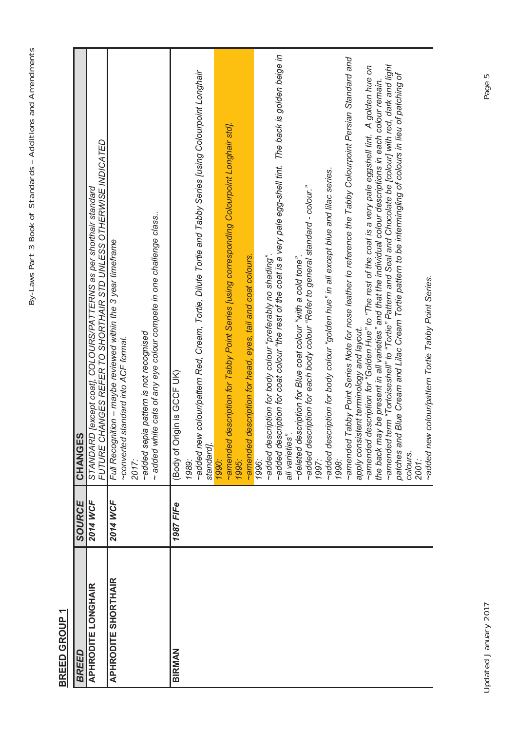### **BREED GROUP 1** BREED GROUP 1

| <b>APHRODITE LONGHAIR</b><br><b>BREED</b> | 2014 WCF<br>SOURCE | FUTURE CHANGES REFER TO SHORTHAIR STD UNLESS OTHERWISE INDICATED<br>[except coat], COLOURS/PATTERNS as per shorthair standard<br>CHANGES<br>STANDARD                                                                                                                                                                                                                                                                                                                                                    |
|-------------------------------------------|--------------------|---------------------------------------------------------------------------------------------------------------------------------------------------------------------------------------------------------------------------------------------------------------------------------------------------------------------------------------------------------------------------------------------------------------------------------------------------------------------------------------------------------|
| <b>APHRODITE SHORTHAIR</b>                | 2014 WCF           | ~ added white cats of any eye colour compete in one challenge class<br>Full Recognition - maybe reviewed within the 3 year timeframe<br>~added sepia pattern is not recognised<br>~converted standard into ACF format.<br>2017:                                                                                                                                                                                                                                                                         |
| BIRMAN                                    | 1987 FIFe          | colour/pattern Red, Cream, Tortie, Dilute Tortie and Tabby Series [using Colourpoint Longhair<br>(Body of Origin is GCF UK)<br>~added new<br>standard].<br>1989:                                                                                                                                                                                                                                                                                                                                        |
|                                           |                    | ~amended description for Tabby Point Series [using corresponding Colourpoint Longhair std].<br>~amended description for head, eyes, tail and coat colours.<br>1995:<br>1990:                                                                                                                                                                                                                                                                                                                            |
|                                           |                    | ~added description for coat colour "the rest of the coat is a very pale egg-shell tint. The back is golden beige in<br>~added description for body colour "preferably no shading".<br>all varieties".<br>1996:                                                                                                                                                                                                                                                                                          |
|                                           |                    | ~added description for body colour "golden hue" in all except blue and lilac series.<br>1998:<br>~added description for each body colour "Refer to general standard - colour."<br>1997:<br>~deleted description for Blue coat colour "with a cold tone"                                                                                                                                                                                                                                                 |
|                                           |                    | ~amended Tabby Point Series Note for nose leather to reference the Tabby Colourpoint Persian Standard and<br>~amended term "Tortoiseshell" to "Tortie" Pattern and Seal and Chocolate be [colour] with red, dark and light<br>apply consistent terminology and layout.<br>~amended description for "Golden Hue" to "The rest of the coat is a very pale eggshell tint.  A golden hue on<br>the back may be present in all varieties" and that the individual colour descriptions in each colour remain. |
|                                           |                    | Blue Cream and Lilac Cream Tortie pattern to be intermingling of colours in lieu of patching of<br>colour/pattern Tortie Tabby Point Series.<br>patches and<br>~added new<br>colours.<br>2001:                                                                                                                                                                                                                                                                                                          |
|                                           |                    |                                                                                                                                                                                                                                                                                                                                                                                                                                                                                                         |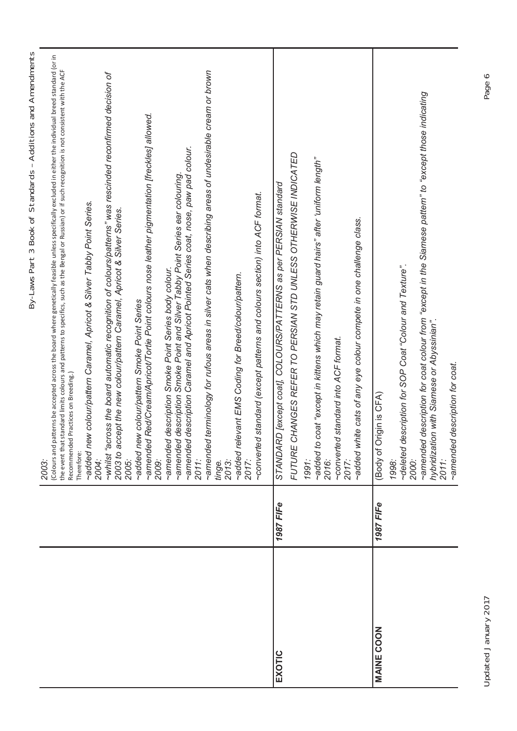|                   |           | By-Laws Part 3 Book of Standards - Additions and Amendments                                                                                                                                                                                                                                                                                                                      |
|-------------------|-----------|----------------------------------------------------------------------------------------------------------------------------------------------------------------------------------------------------------------------------------------------------------------------------------------------------------------------------------------------------------------------------------|
|                   |           | Colours and patterns be accepted across the board where genetically feasible unless specifically excluded in either the individual breed standard (or in<br>the event that standard limits colours and patterns to specifics, such as the Bengal or Russian) or if such recognition is not consistent with the ACF<br>Recommended Practices on Breeding.)<br>Therefore:<br>2003: |
|                   |           | ~added new colour/pattern Caramel, Apricot & Silver Tabby Point Series.<br>2004:                                                                                                                                                                                                                                                                                                 |
|                   |           | ~whilst "across the board automatic recognition of colours/patterns" was rescinded reconfirmed decision of<br>2003 to accept the new colour/pattern Caramel, Apricot & Silver Series.<br>2005:                                                                                                                                                                                   |
|                   |           | Red/Cream/Apricot/Tortie Point colours nose leather pigmentation [freckles] allowed.<br>~added new colour/pattern Smoke Point Series<br>~amended<br>2009:                                                                                                                                                                                                                        |
|                   |           | description Caramel and Apricot Pointed Series coat, nose, paw pad colour.<br>description Smoke Point Series body colour.<br>description Smoke Point and Silver Tabby Point Series ear colouring<br>amended<br>amended<br>amended<br>2011:                                                                                                                                       |
|                   |           | terminology for rufous areas in silver cats when describing areas of undesirable cream or brown<br>amended<br>2013:<br>tinge.                                                                                                                                                                                                                                                    |
|                   |           | ~added relevant EMS Coding for Breed/colour/pattern.<br>2017:                                                                                                                                                                                                                                                                                                                    |
|                   |           | standard (except patterns and colours section) into ACF format.<br>converted                                                                                                                                                                                                                                                                                                     |
| EXOTIC            | 1987 FIFe | STANDARD [except coat], COLOURS/PATTERNS as per PERSIAN standard                                                                                                                                                                                                                                                                                                                 |
|                   |           | FUTURE CHANGES REFER TO PERSIAN STD UNLESS OTHERWISE INDICATED                                                                                                                                                                                                                                                                                                                   |
|                   |           | -added to coat "except in kittens which may retain guard hairs" after 'uniform length"<br>1991:                                                                                                                                                                                                                                                                                  |
|                   |           | standard into ACF format.<br>converted<br>2016:                                                                                                                                                                                                                                                                                                                                  |
|                   |           | -added white cats of any eye colour compete in one challenge class.<br>2017:                                                                                                                                                                                                                                                                                                     |
| <b>MAINE COON</b> | 1987 FIFe | (Body of Origin is CFA)                                                                                                                                                                                                                                                                                                                                                          |
|                   |           | ~deleted description for SOP Coat "Colour and Texture".<br>1998:                                                                                                                                                                                                                                                                                                                 |
|                   |           | description for coat colour from "except in the Siamese pattern" to "except those indicating<br>hybridization with Siamese or Abyssinian".<br>amended<br>2000:                                                                                                                                                                                                                   |
|                   |           | description for coat.<br>~amended<br>$2011$ :                                                                                                                                                                                                                                                                                                                                    |
|                   |           |                                                                                                                                                                                                                                                                                                                                                                                  |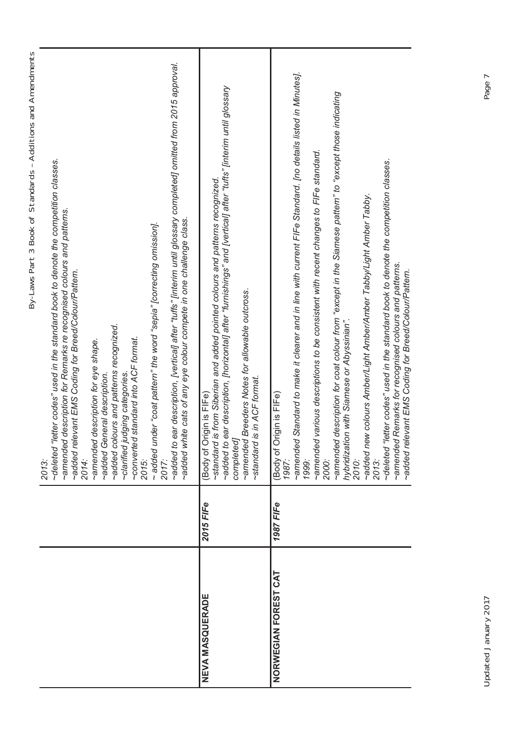| ear description, [vertical] after "tuffs" [interim until glossary completed] omitted from 2015 approval.<br>~deleted "letter codes" used in the standard book to denote the competition classes.<br>~amended description for Remarks re recognised colours and patterns.<br>~added white cats of any eye colour compete in one challenge class.<br>- added under "coat pattern" the word "sepia" [correcting omission].<br>~added relevant EMS Coding for Breed/Colour/Pattern.<br>~added colours and patterns recognized.<br>~converted standard into ACF format.<br>2015:<br>~amended description for eye shape.<br>~added General description.<br>~clarified judging categories<br>added to<br>2014:<br>2017:<br>2013: | ear description, [horizontal] after "furnishings" and [vertical] after "tufts" [interim until glossary<br>-standard is from Siberian and added pointed colours and patterns recognized.<br>~amended Breeders Notes for allowable outcross.<br>~standard is in ACF format.<br>(Body of Origin is FIFe)<br>added to<br>completed | -amended Standard to make it clearer and in line with current FIFe Standard. [no details listed in Minutes].<br>emended description for coat colour from "except in the Siamese pattern" to "except those indicating<br>~amended various descriptions to be consistent with recent changes to FIFe standard.<br>~deleted "letter codes" used in the standard book to denote the competition classes.<br>~added new colours Amber/Light Amber/Amber Tabby/Light Amber Tabby.<br>~amended Remarks for recognised colours and patterns.<br>~added relevant EMS Coding for Breed/Colour/Pattern.<br>hybridization with Siamese or Abyssinian".<br>(Body of Origin is FIFe)<br>1987:<br>2013:<br>2010:<br>2000:<br>1999: |  |
|---------------------------------------------------------------------------------------------------------------------------------------------------------------------------------------------------------------------------------------------------------------------------------------------------------------------------------------------------------------------------------------------------------------------------------------------------------------------------------------------------------------------------------------------------------------------------------------------------------------------------------------------------------------------------------------------------------------------------|--------------------------------------------------------------------------------------------------------------------------------------------------------------------------------------------------------------------------------------------------------------------------------------------------------------------------------|---------------------------------------------------------------------------------------------------------------------------------------------------------------------------------------------------------------------------------------------------------------------------------------------------------------------------------------------------------------------------------------------------------------------------------------------------------------------------------------------------------------------------------------------------------------------------------------------------------------------------------------------------------------------------------------------------------------------|--|
|                                                                                                                                                                                                                                                                                                                                                                                                                                                                                                                                                                                                                                                                                                                           | 2015 FIFe                                                                                                                                                                                                                                                                                                                      | 1987 FIFe                                                                                                                                                                                                                                                                                                                                                                                                                                                                                                                                                                                                                                                                                                           |  |
|                                                                                                                                                                                                                                                                                                                                                                                                                                                                                                                                                                                                                                                                                                                           | <b>NEVA MASQUERADE</b>                                                                                                                                                                                                                                                                                                         | NORWEGIAN FOREST CAT                                                                                                                                                                                                                                                                                                                                                                                                                                                                                                                                                                                                                                                                                                |  |

Updated January 2017 Page 7 Updated January 2017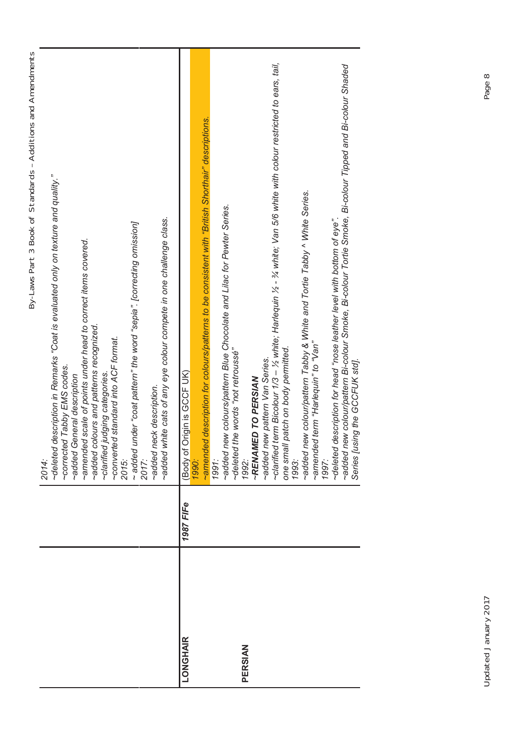| ١<br>J        |
|---------------|
|               |
|               |
|               |
|               |
|               |
|               |
|               |
|               |
|               |
| $\frac{1}{2}$ |
|               |
|               |
|               |
| )<br>5        |
|               |
| s<br>C        |
|               |
|               |
| į<br>١        |
|               |
|               |
|               |
| j             |
| l             |
| I             |
|               |
| I             |
|               |
| $\frac{1}{2}$ |
|               |
|               |
|               |
| ļ             |
|               |
|               |
|               |
|               |
|               |
| į<br>I        |
|               |
| I             |
| )             |
|               |
|               |
| )             |
| )             |
| i             |
| J             |
| ֠             |
|               |
|               |
|               |
| .<br>5<br>I   |
| I             |
|               |
| )             |
|               |
| l             |
| Ĵ             |
|               |
| ī             |
| ١             |
| ι<br>J        |

|          |           | ~deleted description in Remarks "Coat is evaluated only on texture and quality."<br>-added white cats of any eye colour compete in one challenge class.<br>$\sim$ added under "coat pattern" the word "sepia". [correcting omission]<br>~amended scale of points under head to correct items covered.<br>~added colours and patterns recognized.<br>standard into ACF format.<br>Tabby EMS codes.<br>clarified judging categories<br>~added General description<br>~added neck description.<br>~corrected<br>converted<br>2015:<br>2017:<br>2014: |
|----------|-----------|---------------------------------------------------------------------------------------------------------------------------------------------------------------------------------------------------------------------------------------------------------------------------------------------------------------------------------------------------------------------------------------------------------------------------------------------------------------------------------------------------------------------------------------------------|
| LONGHAIR | 1987 FIFe | description for colours/patterns to be consistent with "British Shorthair" descriptions.<br>igin is GCCF UK)<br>Body of Or<br>amended<br>1990:                                                                                                                                                                                                                                                                                                                                                                                                    |
| PERSIAN  |           | ~added new colours/pattern Blue Chocolate and Lilac for Pewter Series.<br>~deleted the words "not retroussé"<br>~RENAMED TO PERSIAN<br>1991:<br>1992:                                                                                                                                                                                                                                                                                                                                                                                             |
|          |           | ~added new pattern Van Series.<br>~clarified term Bicolour 1/3 – ½ white; Harlequin ½ - ¾ white; Van 5/6 white with colour restricted to ears, tail,<br>~added new colour/pattern Tabby & White and Tortie Tabby ^ White Series.<br>term "Harlequin" to "Van"<br>atch on body permitted.<br>one small pa<br>1993:<br>~amended t<br>1997:                                                                                                                                                                                                          |
|          |           | -added new colour/pattern Bi-colour Smoke, Bi-colour Tortie Smoke, Bi-colour Tipped and Bi-colour Shaded<br>~deleted description for head "nose leather level with bottom of eye".<br>ig the GCCFUK std].<br>Series [usin                                                                                                                                                                                                                                                                                                                         |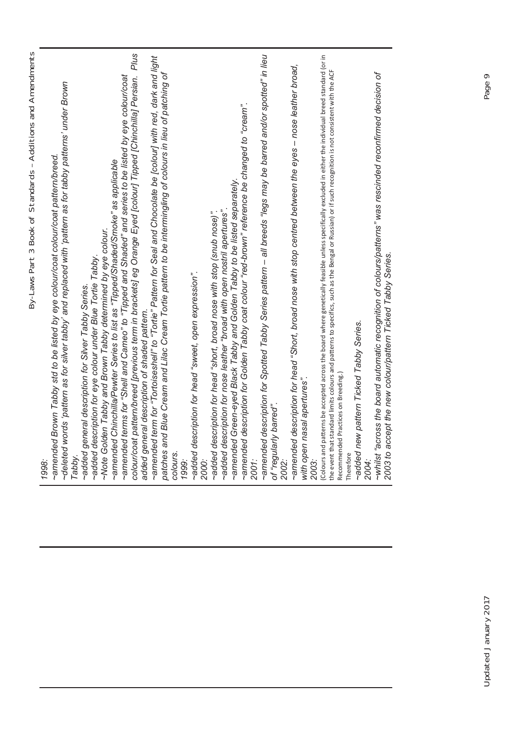| I<br>)<br>₹                                                                  |
|------------------------------------------------------------------------------|
| $\frac{5}{1}$<br>S<br>¢<br>ļ<br>I<br>l<br>1                                  |
| Į<br>5<br>ļ<br>l<br>ׇ֧֛֦֧֦֧֦֧֦֧֦֧֦֧֦֧֦֧֦֧֦֧֦֧֦֧֦֧֧֦֧֧֦֧֧֚֚֜֜֜<br>(<br>)<br>I |
| )<br>I<br>١<br>$\overline{\phantom{a}}$<br>J                                 |
| Ì<br>l<br>)<br>:<br>j<br>I<br>Ï<br>١<br>l<br>J                               |

| Brown Tabby std to be listed by eye colour/coat colour/coat pattern/breed<br>~amended<br>1998:                                                                                                                                     |
|------------------------------------------------------------------------------------------------------------------------------------------------------------------------------------------------------------------------------------|
| ~deleted words 'pattern as for silver tabby' and replaced with 'pattern as for tabby patterns' under Brown<br>Tabby.                                                                                                               |
| ~added description for eye colour under Blue Tortie Tabby.<br>~added general description for Silver Tabby Series.                                                                                                                  |
| -Note Golden Tabby and Brown Tabby determined by eye colour.                                                                                                                                                                       |
| ~amended Chinchilla/Pewter Series to list as "Tipped/Shaded/Smoke" as applicable                                                                                                                                                   |
| Plus<br>pattern/breed [previous term in brackets] eg Orange Eyed [colour] Tipped [Chinchilla] Persian.<br>terms for "Shell and Cameo" to "Tipped and Shaded" and series to be listed by eye colour/coat<br>~amended<br>colour/coat |
| added general description of shaded pattern.                                                                                                                                                                                       |
| ~amended term for "Tortoiseshell" to "Tortie" Pattern for Seal and Chocolate be [colour] with red, dark and light                                                                                                                  |
| d Blue Cream and Lilac Cream Tortie pattern to be intermingling of colours in lieu of patching of<br>patches an                                                                                                                    |
| colours.<br>1999:                                                                                                                                                                                                                  |
| ~added description for head "sweet, open expression".<br>2000:                                                                                                                                                                     |
| ~added description for head "short, broad nose with stop (snub nose)".                                                                                                                                                             |
| ~added description for nose leather "broad with open nostril apertures".                                                                                                                                                           |
| Green-eyed Black Tabby and Golden Tabby to be listed separately<br>~amended                                                                                                                                                        |
| description for Golden Tabby coat colour "red-brown" reference be changed to "cream".<br>~amended                                                                                                                                  |
| 2001:                                                                                                                                                                                                                              |
| description for Spotted Tabby Series pattern – all breeds "legs may be barred and/or spotted" in lieu<br>~amended                                                                                                                  |
| of "regularly barred".<br>2002:                                                                                                                                                                                                    |
| description for head "Short, broad nose with stop centred between the eyes - nose leather broad,<br>~amended                                                                                                                       |
| rasal apertures".<br>with open r<br>2003:                                                                                                                                                                                          |
| Colours and patterns be accepted across the board where genetically feasible unless specifically excluded in either the individual breed standard (or in                                                                           |
| standard limits colours and patterns to specifics, such as the Bengal or Russian) or if such recognition is not consistent with the ACF<br>the event that                                                                          |
| Practices on Breeding.)<br>Recommended<br>Therefore                                                                                                                                                                                |
| ~added new pattern Ticked Tabby Series.                                                                                                                                                                                            |
| 2004:                                                                                                                                                                                                                              |
| ~whilst "across the board automatic recognition of colours/patterns" was rescinded reconfirmed decision of                                                                                                                         |
| 2003 to accept the new colour/pattern Ticked Tabby Series.                                                                                                                                                                         |
|                                                                                                                                                                                                                                    |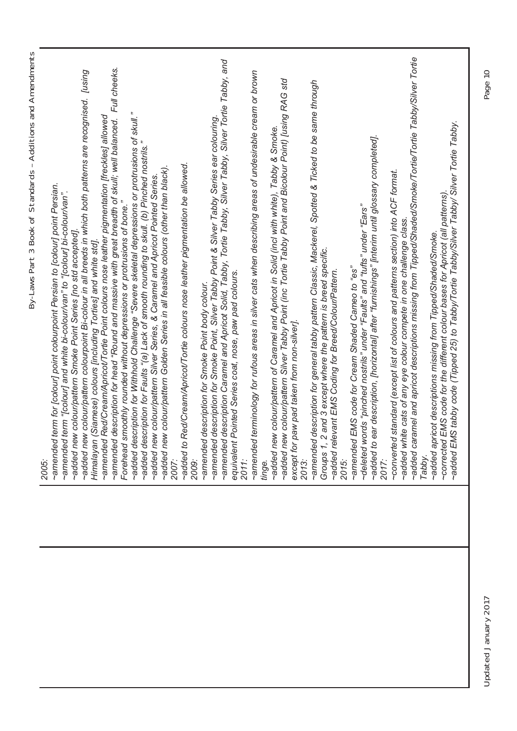| ľ<br>Š       |
|--------------|
| ות וחרו      |
|              |
| ن<br>د<br>てて |
|              |

|  | By-Laws Part 3 Book of Standards - Additions and Amendments<br>2005.                                                                                                                                         |
|--|--------------------------------------------------------------------------------------------------------------------------------------------------------------------------------------------------------------|
|  | term for [colour] point colourpoint Persian to [colour] point Persian.<br>~amended term "[colour] and white bi-colour/van" to "[colour] bi-colour/van".<br>~amended                                          |
|  | -added new colour/pattern colourpoint Bi-colour in all breeds in which both patterns are recognised. [using<br>~added new colour/pattern Smoke Point Series [no std accepted].                               |
|  | Red/Cream/Apricot/Tortie Point colours nose leather pigmentation [freckles] allowed<br>(Siamese) colours [including Torties] and white std].<br>~amended<br>Himalayan                                        |
|  | ~amended description for head "Round and massive with great breadth of skull; well balanced. Full cheeks.                                                                                                    |
|  | ~added description for Withhold Challenge "Severe skeletal depressions or protrusions of skull.<br>Forehead smoothly rounded without depressions or protrusions of bone.                                     |
|  | ~added description for Faults "(a) Lack of smooth rounding to skull. (b) Pinched nostrils."                                                                                                                  |
|  | ~added new colour/pattern Silver Series, & Caramel and Apricot Pointed Series.                                                                                                                               |
|  | ~added new colour/pattern Golden Series in all feasible colours (other than black).<br>2007:                                                                                                                 |
|  | ~added to Red/Cream/Apricot/Tortie colours nose leather pigmentation be allowed.<br>2009:                                                                                                                    |
|  | description for Smoke Point body colour.<br>~amended                                                                                                                                                         |
|  |                                                                                                                                                                                                              |
|  | ~amended description for Smoke Point, Silver Tabby Point & Silver Tabby Series ear colouring.<br>~amended description Caramel and Apricot Solid, Tabby, Tortie Tabby, Silver Tabby, Silver Tortie Tabby, and |
|  | Pointed Series coat, nose, paw pad colours.<br>equivalent                                                                                                                                                    |
|  | 2011:                                                                                                                                                                                                        |
|  | terminology for rufous areas in silver cats when describing areas of undesirable cream or brown<br>~amended<br>tinge.                                                                                        |
|  | -added new colour/pattern of Caramel and Apricot in Solid (incl with white), Tabby & Smoke.                                                                                                                  |
|  | eadded new colour/pattern Silver Tabby Point (inc Tortie Tabby Point and Bicolour Point) [using RAG std                                                                                                      |
|  | except for paw pad taken from non-silver].<br>2013:                                                                                                                                                          |
|  | ~amended description for general tabby pattern Classic, Mackerel, Spotted & Ticked to be same through                                                                                                        |
|  | Groups 1, 2 and 3 except where the pattern is breed specific.                                                                                                                                                |
|  | evant EMS Coding for Breed/Colour/Pattern.<br>added rel                                                                                                                                                      |
|  | EMS code for Cream Shaded Cameo to "es"<br>2015:                                                                                                                                                             |
|  | ~deleted words "pinched nostrils" under "Faults" and "tufts" under "Ears"<br>~amended                                                                                                                        |
|  | ear description, [horizontal] after "furnishings" [interim until glossary completed].<br>added to                                                                                                            |
|  | 2017:                                                                                                                                                                                                        |
|  | ~converted standard (except list of colours and patterns section) into ACF format.                                                                                                                           |
|  | ~added caramel and apricot descriptions missing from Tipped/Shaded/Smoke/Tortie/Tortie Tabby/Silver Tortie<br>~added white cats of any eye colour compete in one challenge class.                            |
|  | Tabby.                                                                                                                                                                                                       |
|  | EMS code for the different colour bases for Apricot (all patterns)<br>-added apricot descriptions missing from Tipped/Shaded/Smoke.<br>~corrected                                                            |
|  | ~added EMS tabby code (Tipped 25) to Tabby/Tortie Tabby/Silver Tabby/ Silver Tortie Tabby.                                                                                                                   |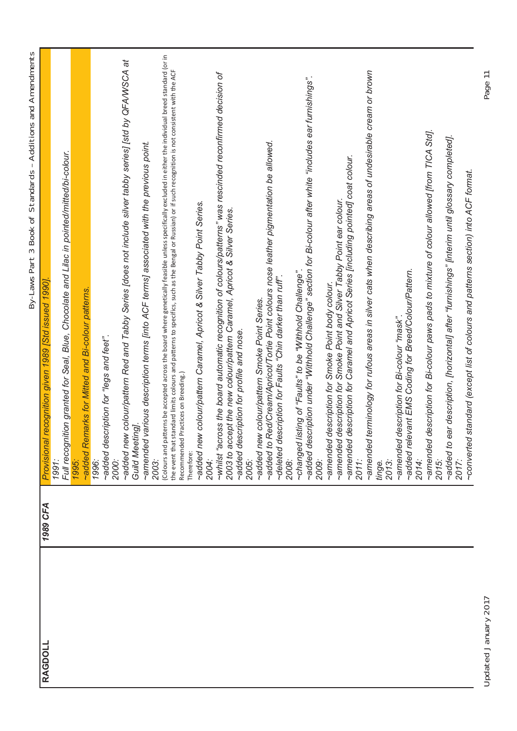|   | I<br>١                         |
|---|--------------------------------|
|   | l                              |
|   |                                |
|   |                                |
|   | ļ                              |
|   |                                |
|   |                                |
|   |                                |
|   | ī                              |
|   |                                |
|   | j                              |
|   |                                |
|   | ؙؚ<br>١                        |
|   |                                |
|   |                                |
|   |                                |
|   |                                |
|   |                                |
|   |                                |
|   | ₹<br>5                         |
|   |                                |
|   | ļ                              |
|   |                                |
|   | ¢<br>5                         |
|   |                                |
|   | ś<br>J                         |
|   |                                |
|   |                                |
|   | I                              |
|   | ١                              |
|   |                                |
|   | ١                              |
|   |                                |
|   | i                              |
|   |                                |
|   | l                              |
|   |                                |
|   |                                |
|   |                                |
|   |                                |
|   | Ī                              |
|   |                                |
|   |                                |
|   |                                |
|   | i<br>)<br>5                    |
|   |                                |
|   |                                |
|   |                                |
|   |                                |
|   | 5                              |
|   | i                              |
|   |                                |
|   | ؛                              |
|   |                                |
|   | I<br>ļ                         |
|   |                                |
|   |                                |
| I | ١                              |
|   |                                |
|   |                                |
|   |                                |
|   | I<br>١                         |
|   |                                |
|   |                                |
|   |                                |
|   |                                |
|   | ١<br>١                         |
|   | l<br>١                         |
|   |                                |
| ۱ | I                              |
|   |                                |
|   |                                |
|   | ׇ֚                             |
|   |                                |
|   |                                |
|   |                                |
|   | ļ                              |
|   |                                |
|   | 5<br>I                         |
|   |                                |
|   |                                |
|   |                                |
|   | ١                              |
|   | ï                              |
|   | ֧֦֧֢֦֧֦֧֦֧֢֦֧֦֧֢֛֢֛֪֦֪֦֪֦֚֚֬֜֜ |
|   | J                              |
|   |                                |
|   |                                |
|   | Ī                              |
|   |                                |
|   | ١                              |
| ı |                                |
| I | I                              |
|   |                                |

| Provisional recognition given 1989 [Std issued 1990]. | Full recognition granted for Seal, Blue, Chocolate and Lilac in pointed/mitted/bi-colour.<br>1991: | -added Remarks for Mitted and Bi-colour patterns.<br>1995. | 1996: | -added description for "legs and feet".<br>2000: | -added new colour/pattern Red and Tabby Series [does not include silver tabby series] [std by QFA/WSCA at<br>Guild Meeting]. | -amended various description terms [into ACF terms] associated with the previous point.<br>2003: | Colours and patterns be accepted across the board where genetically feasible unless specifically excluded in either the individual breed standard (or in | the event that standard limits colours and patterns to specifics, such as the Bengal or Russian) or if such recognition is not consistent with the ACF<br>Recommended Practices on Breeding.)<br>Therefore: | ~added new colour/pattern Caramel, Apricot & Silver Tabby Point Series. | 2004: | ~whilst "across the board automatic recognition of colours/patterns" was rescinded reconfirmed decision of<br>2003 to accept the new colour/pattern Caramel, Apricot & Silver Series. | -added description for profile and nose. | 2005: | ~added new colour/pattern Smoke Point Series. | -added to Red/Cream/Apricot/Tortie Point colours nose leather pigmentation be allowed. | -deleted description for Faults "Chin darker than ruff" | 2008: | ~added description under "Withhold Challenge" section for Bi-colour after white "includes ear furnishings".<br>listing of "Faults" to be "Withhold Challenge".<br>changed | 2009: | description for Smoke Point body colour.<br>amended | description for Smoke Point and Silver Tabby Point ear colour.<br>amended | description for Caramel and Apricot Series [including pointed] coat colour.<br>-amended | 2011: | terminology for rufous areas in silver cats when describing areas of undesirable cream or brown<br>~amended | 2013:<br>tinge. | description for Bi-colour "mask".<br>amended | ~added relevant EMS Coding for Breed/Colour/Pattern. | 2014: | description for Bi-colour paws pads to mixture of colour allowed [from TICA Std].<br>~amended | 2015: | ear description, [horizontal] after "furnishings" [interim until glossary completed].<br>added to<br>2017: | ~converted standard (except list of colours and patterns section) into ACF format. |
|-------------------------------------------------------|----------------------------------------------------------------------------------------------------|------------------------------------------------------------|-------|--------------------------------------------------|------------------------------------------------------------------------------------------------------------------------------|--------------------------------------------------------------------------------------------------|----------------------------------------------------------------------------------------------------------------------------------------------------------|-------------------------------------------------------------------------------------------------------------------------------------------------------------------------------------------------------------|-------------------------------------------------------------------------|-------|---------------------------------------------------------------------------------------------------------------------------------------------------------------------------------------|------------------------------------------|-------|-----------------------------------------------|----------------------------------------------------------------------------------------|---------------------------------------------------------|-------|---------------------------------------------------------------------------------------------------------------------------------------------------------------------------|-------|-----------------------------------------------------|---------------------------------------------------------------------------|-----------------------------------------------------------------------------------------|-------|-------------------------------------------------------------------------------------------------------------|-----------------|----------------------------------------------|------------------------------------------------------|-------|-----------------------------------------------------------------------------------------------|-------|------------------------------------------------------------------------------------------------------------|------------------------------------------------------------------------------------|
| <b>1989 CFA</b>                                       |                                                                                                    |                                                            |       |                                                  |                                                                                                                              |                                                                                                  |                                                                                                                                                          |                                                                                                                                                                                                             |                                                                         |       |                                                                                                                                                                                       |                                          |       |                                               |                                                                                        |                                                         |       |                                                                                                                                                                           |       |                                                     |                                                                           |                                                                                         |       |                                                                                                             |                 |                                              |                                                      |       |                                                                                               |       |                                                                                                            |                                                                                    |
| <b>RAGDOLL</b>                                        |                                                                                                    |                                                            |       |                                                  |                                                                                                                              |                                                                                                  |                                                                                                                                                          |                                                                                                                                                                                                             |                                                                         |       |                                                                                                                                                                                       |                                          |       |                                               |                                                                                        |                                                         |       |                                                                                                                                                                           |       |                                                     |                                                                           |                                                                                         |       |                                                                                                             |                 |                                              |                                                      |       |                                                                                               |       |                                                                                                            |                                                                                    |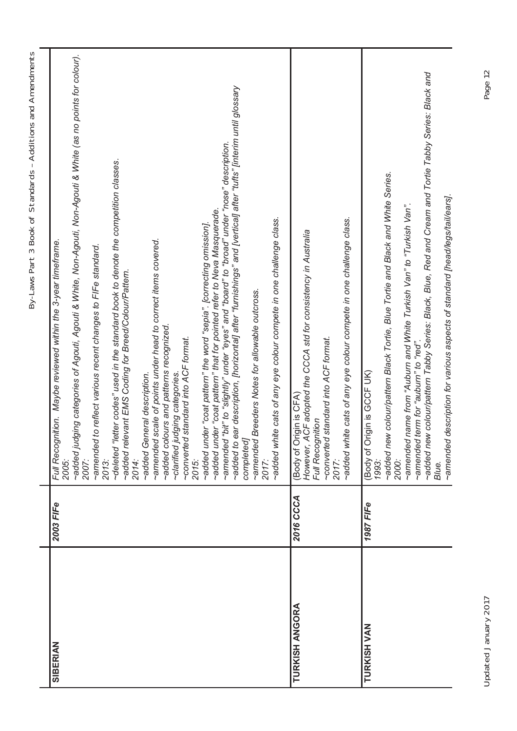| SIBERIAN              | 2003 FIFe | ~added judging categories of Agouti, Agouti & White, Non-Agouti, Non-Agouti & White (as no points for colour).<br>2007:<br>ear description, [horizontal] after "furnishings" and [vertical] after "tufts" [interim until glossary<br>-amended "bit" to "slightly" under "eyes" and "board" to "broad" under "nose" description.<br>~deleted "letter codes" used in the standard book to denote the competition classes.<br>~added under "coat pattern" the word "sepia". [correcting omission].<br>~added under "coat pattern" that for pointed refer to Neva Masquerade.<br>~added white cats of any eye colour compete in one challenge class.<br>~amended scale of points under head to correct items covered.<br>Full Recognition. Maybe reviewed within the 3-year timeframe.<br>~amended to reflect various recent changes to FIFe standard.<br>levant EMS Coding for Breed/Colour/Pattern.<br>Breeders Notes for allowable outcross.<br>~added colours and patterns recognized.<br>~converted standard into ACF format.<br>~clarified judging categories.<br>~added General description.<br>~amended<br>added rei<br>added to<br>completed<br>2014:<br>2015:<br>2013:<br>2017:<br>2005: |
|-----------------------|-----------|------------------------------------------------------------------------------------------------------------------------------------------------------------------------------------------------------------------------------------------------------------------------------------------------------------------------------------------------------------------------------------------------------------------------------------------------------------------------------------------------------------------------------------------------------------------------------------------------------------------------------------------------------------------------------------------------------------------------------------------------------------------------------------------------------------------------------------------------------------------------------------------------------------------------------------------------------------------------------------------------------------------------------------------------------------------------------------------------------------------------------------------------------------------------------------------------|
| <b>TURKISH ANGORA</b> | 2016 CCCA | -added white cats of any eye colour compete in one challenge class.<br>However, ACF adopted the CCCA std for consistency in Australia<br>~converted standard into ACF format.<br>2017:<br>(Body of Origin is CFA)<br>Full Recognition                                                                                                                                                                                                                                                                                                                                                                                                                                                                                                                                                                                                                                                                                                                                                                                                                                                                                                                                                          |
| <b>TURKISH VAN</b>    | 1987 FIFe | ~added new colour/pattern Tabby Series: Black, Blue, Red and Cream and Tortie Tabby Series: Black and<br>~added new colour/pattern Black Tortie, Blue Tortie and Black and White Series.<br>~amended description for various aspects of standard [head/legs/tail/ears].<br>~amended name from "Auburn and White Turkish Van" to "Turkish Van".<br>~amended term for "aubum" to "red".<br>(Body of Origin is GCCF UK)<br>1993:<br>2000:<br>Blue.                                                                                                                                                                                                                                                                                                                                                                                                                                                                                                                                                                                                                                                                                                                                                |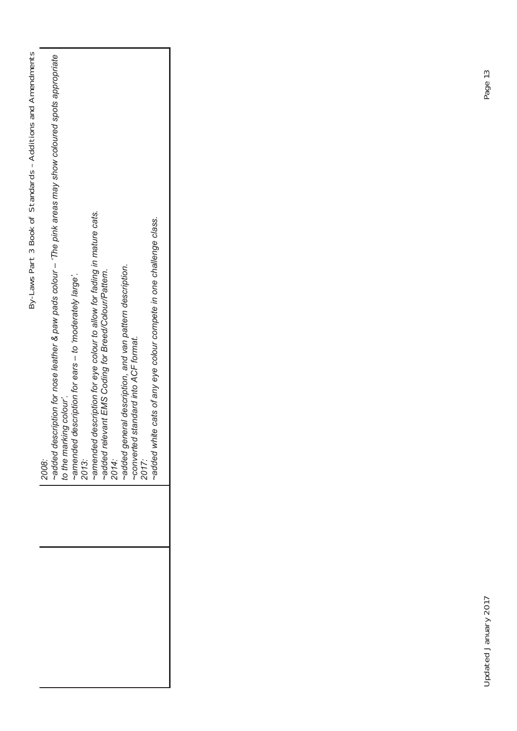| By-Laws Part 3 Book of Standards - Additions and Amendments | 2008: | -added description for nose leather & paw pads colour – 'The pink areas may show coloured spots appropriate | o the marking colour'. | description for ears - to 'moderately large'. | ~amended <sub>(</sub><br>2013: | description for eye colour to allow for fading in mature cats.<br>amended | -added relevant EMS Coding for Breed/Colour/Pattem.<br>2014:<br>-added general description, and van pattern description. | standard into ACF format. | ~converted s<br>2017: | -added white cats of any eye colour compete in one challenge class. |
|-------------------------------------------------------------|-------|-------------------------------------------------------------------------------------------------------------|------------------------|-----------------------------------------------|--------------------------------|---------------------------------------------------------------------------|--------------------------------------------------------------------------------------------------------------------------|---------------------------|-----------------------|---------------------------------------------------------------------|
|                                                             |       |                                                                                                             |                        |                                               |                                |                                                                           |                                                                                                                          |                           |                       |                                                                     |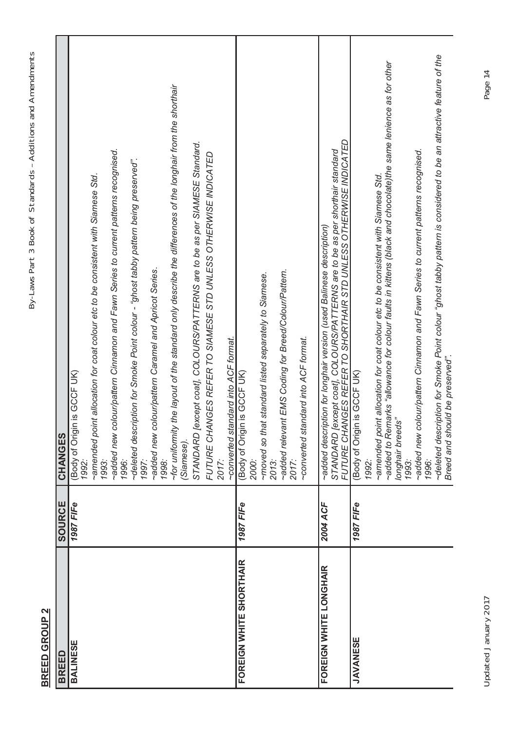| ١<br>J                   |
|--------------------------|
|                          |
| $\overline{\phantom{a}}$ |
|                          |
| i                        |
|                          |
| $\frac{1}{2}$            |
|                          |
|                          |
| 5<br>5<br>5              |
| ていへい                     |
| :<br>?                   |
| ١                        |
|                          |
|                          |
|                          |
| I                        |
|                          |
| i<br>3                   |
| Ì<br>S                   |
|                          |
| I                        |
|                          |
| $\overline{\phantom{a}}$ |
| I<br>I<br>١              |
|                          |
| $\frac{1}{2}$<br>١       |
|                          |
| ١                        |
|                          |
|                          |
| I<br>l                   |
| ١                        |
|                          |
| j                        |
| Ī                        |
| ١<br>ľ<br>Ì              |
|                          |

### **BREED GROUP 2** BREED GROUP 2

| <b>BREED</b>                   | SOURCE    | CHANGES                                                                                                                                                                                                                                                                                                                                                                                                                                                                                                                                                                                                                                                                                                                                 |
|--------------------------------|-----------|-----------------------------------------------------------------------------------------------------------------------------------------------------------------------------------------------------------------------------------------------------------------------------------------------------------------------------------------------------------------------------------------------------------------------------------------------------------------------------------------------------------------------------------------------------------------------------------------------------------------------------------------------------------------------------------------------------------------------------------------|
| BALINESE                       | 1987 FIFe | the layout of the standard only describe the differences of the longhair from the shorthair<br>STANDARD [except coat], COLOURS/PATTERNS are to be as per SIAMESE Standard.<br>~added new colour/pattern Cinnamon and Fawn Series to current patterns recognised.<br>FUTURE CHANGES REFER TO SIAMESE STD UNLESS OTHERWISE INDICATED<br>~deleted description for Smoke Point colour - "ghost tabby pattern being preserved".<br>~amended point allocation for coat colour etc to be consistent with Siamese Std.<br>~added new colour/pattern Caramel and Apricot Series.<br>~converted standard into ACF format.<br>is GCCF UK)<br>Body of Origin<br>~for uniformity<br>(Siamese).<br>1998:<br>2017:<br>1997:<br>1993:<br>1996:<br>1992: |
| <b>FOREIGN WHITE SHORTHAIR</b> | 1987 FIFe | ~added relevant EMS Coding for Breed/Colour/Pattern.<br>~moved so that standard listed separately to Siamese.<br>~converted standard into ACF format.<br>is GCCF UK)<br>Body of Origin<br>2013:<br>2017:<br>2000:                                                                                                                                                                                                                                                                                                                                                                                                                                                                                                                       |
| FOREIGN WHITE LONGHAIR         | 2004 ACF  | FUTURE CHANGES REFER TO SHORTHAIR STD UNLESS OTHERWISE INDICATED<br>STANDARD [except coat], COLOURS/PATTERNS are to be as per shorthair standard<br>~added description for longhair version (used Balinese description)                                                                                                                                                                                                                                                                                                                                                                                                                                                                                                                 |
| <b>JAVANESE</b>                | 1987 FIFe | -deleted description for Smoke Point colour "ghost tabby pattern is considered to be an attractive feature of the<br>~added to Remarks "allowance for colour faults in kittens (black and chocolate)the same lenience as for other<br>~added new colour/pattern Cinnamon and Fawn Series to current patterns recognised.<br>~amended point allocation for coat colour etc to be consistent with Siamese Std.<br>Breed and should be preserved".<br>(Body of Origin is GCCF UK)<br>longhair breeds"<br>1996:<br>1992:<br>1993:                                                                                                                                                                                                           |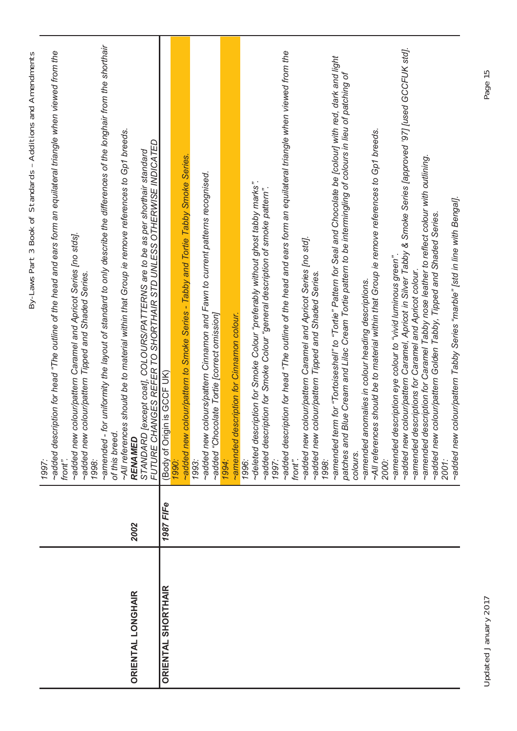|                           |           | By-Laws Part 3 Book of Standards - Additions and Amendments                                                                                                          |
|---------------------------|-----------|----------------------------------------------------------------------------------------------------------------------------------------------------------------------|
|                           |           | -added description for head "The outline of the head and ears form an equilateral triangle when viewed from the<br>front".<br>1997                                   |
|                           |           | colour/pattern Caramel and Apricot Series [no stds].<br>colour/pattern Tipped and Shaded Series.<br>~added new<br>~added new<br>1998:                                |
|                           |           | for uniformity the layout of standard to only describe the differences of the longhair from the shorthair<br>of this breed.<br>-amended -                            |
| <b>ORIENTAL LONGHAIR</b>  | 2002      | ~All references should be to material within that Group ie remove references to Gp1 breeds.<br>RENAMED                                                               |
|                           |           | FUTURE CHANGES REFER TO SHORTHAIR STD UNLESS OTHERWISE INDICATED<br>STANDARD [except coat], COLOURS/PATTERNS are to be as per shorthair standard                     |
| <b>ORIENTAL SHORTHAIR</b> | 1987 FIFe | (Body of Origin is GCF UK)                                                                                                                                           |
|                           |           | 1990                                                                                                                                                                 |
|                           |           | -added new colour/pattern to Smoke Series - Tabby and Tortie Tabby Smoke Series.<br>1993:                                                                            |
|                           |           | colours/pattern Cinnamon and Fawn to current patterns recognised.<br>~added "Chocolate Tortie [correct omission]<br>~added new                                       |
|                           |           | 1994:                                                                                                                                                                |
|                           |           | ~amended description for Cinnamon colour.                                                                                                                            |
|                           |           | 1996:                                                                                                                                                                |
|                           |           | ~deleted description for Smoke Colour "preferably without ghost tabby marks".<br>~added description for Smoke Colour "general description of smoke pattern".         |
|                           |           | 1997:                                                                                                                                                                |
|                           |           | -added description for head "The outline of the head and ears form an equilateral triangle when viewed from the<br>front".                                           |
|                           |           |                                                                                                                                                                      |
|                           |           | colour/pattern Caramel and Apricot Series [no std].<br>colour/pattern Tipped and Shaded Series.<br>~added new<br>~added new                                          |
|                           |           | 1998:                                                                                                                                                                |
|                           |           | ~amended term for "Tortoiseshell" to "Tortie" Pattern for Seal and Chocolate be [colour] with red, dark and light                                                    |
|                           |           | Blue Cream and Lilac Cream Tortie pattern to be intermingling of colours in lieu of patching of<br>patches and<br>colours.                                           |
|                           |           | ~amended anomalies in colour heading descriptions.                                                                                                                   |
|                           |           | ~All references should be to material within that Group ie remove references to Gp1 breeds.<br>2000:                                                                 |
|                           |           | $\sim$ amended description eye colour to "vivid luminous green"                                                                                                      |
|                           |           | ~added new colour/pattern Caramel, Apricot in Silver Tabby & Smoke Series [approved '97] [used GCCFUK std].<br>~amended descriptions for Caramel and Apricot colour. |
|                           |           | -amended description for Caramel Tabby nose leather to reflect colour with outlining.                                                                                |
|                           |           | ~added new colour/pattern Golden Tabby, Tipped and Shaded Series.<br>2001:                                                                                           |
|                           |           | colour/pattern Tabby Series "marble" [std in line with Bengal].<br>~added new                                                                                        |
|                           |           |                                                                                                                                                                      |

٦

Updated January 2017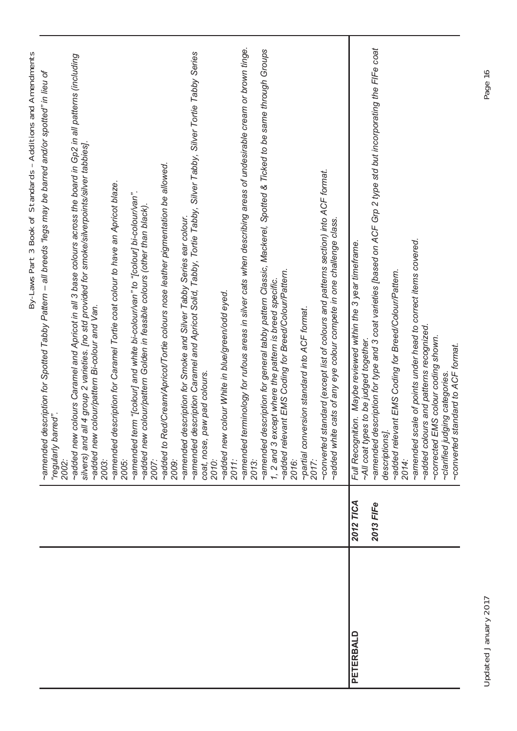|           |           | By-Laws Part 3 Book of Standards - Additions and Amendments                                                                                                                                                                                                                   |
|-----------|-----------|-------------------------------------------------------------------------------------------------------------------------------------------------------------------------------------------------------------------------------------------------------------------------------|
|           |           | -amended description for Spotted Tabby Pattern – all breeds "legs may be barred and/or spotted" in lieu of<br>"regularly barred"<br>2002:                                                                                                                                     |
|           |           | colours Caramel and Apricot in all 3 base colours across the board in Gp2 in all patterns (including<br>silvers) and all 4 group 2 varieties. Ino std provided for smoke/silverpoints/silver tabbies].<br>~added new colour/pattern Bi-colour and Van.<br>~added new<br>2003: |
|           |           | ~amended description for Caramel Tortie coat colour to have an Apricot blaze.<br>2005:                                                                                                                                                                                        |
|           |           | -amended term "[colour] and white bi-colour/van" to "[colour] bi-colour/van".<br>~added new colour/pattern Golden in feasible colours (other than black)<br>2007:                                                                                                             |
|           |           | ~added to Red/Cream/Apricot/Tortie colours nose leather pigmentation be allowed.<br>2009:                                                                                                                                                                                     |
|           |           | ~amended description for Smoke and Silver Tabby Series ear colour.                                                                                                                                                                                                            |
|           |           | ~amended description Caramel and Apricot Solid, Tabby, Tortie Tabby, Silver Tabby, Silver Tortie Tabby Series<br>coat, nose, paw pad colours                                                                                                                                  |
|           |           | 2010:                                                                                                                                                                                                                                                                         |
|           |           | ~added new colour White in blue/green/odd eyed.<br>2011:                                                                                                                                                                                                                      |
|           |           | ~amended terminology for rufous areas in silver cats when describing areas of undesirable cream or brown tinge<br>2013:                                                                                                                                                       |
|           |           | ~amended description for general tabby pattern Classic, Mackerel, Spotted & Ticked to be same through Groups                                                                                                                                                                  |
|           |           | 1, 2 and 3 except where the pattern is breed specific.                                                                                                                                                                                                                        |
|           |           | ~added relevant EMS Coding for Breed/Colour/Pattern.<br>2016:                                                                                                                                                                                                                 |
|           |           | ~partial conversion standard into ACF format.                                                                                                                                                                                                                                 |
|           |           | 2017:                                                                                                                                                                                                                                                                         |
|           |           | -converted standard (except list of colours and patterns section) into ACF format.<br>-added white cats of any eye colour compete in one challenge class.                                                                                                                     |
| PETERBALD | 2012 TICA | Full Recognition. Maybe reviewed within the 3 year timeframe                                                                                                                                                                                                                  |
|           |           | -All coat types to be judged together.                                                                                                                                                                                                                                        |
|           | 2013 FIFe | -amended description for type and 3 coat varieties [based on ACF Grp 2 type std but incorporating the FIFe coat                                                                                                                                                               |
|           |           | ~added relevant EMS Coding for Breed/Colour/Pattern.<br>descriptions].                                                                                                                                                                                                        |
|           |           | 2014:                                                                                                                                                                                                                                                                         |
|           |           | ~amended scale of points under head to correct items covered.                                                                                                                                                                                                                 |
|           |           | -added colours and patterns recognized.<br>~corrected EMS colour coding shown.                                                                                                                                                                                                |
|           |           | ~converted standard to ACF format.<br>~clarified judging categories                                                                                                                                                                                                           |
|           |           |                                                                                                                                                                                                                                                                               |

Τ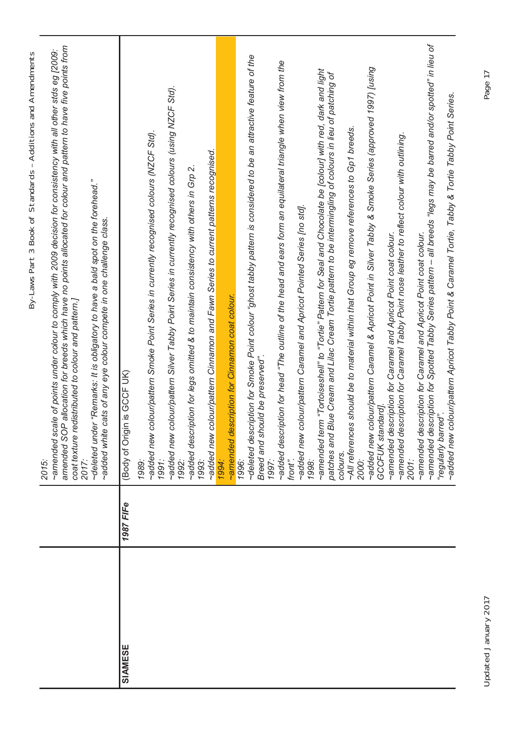Updated January 2017 Page 17 Updated January 2017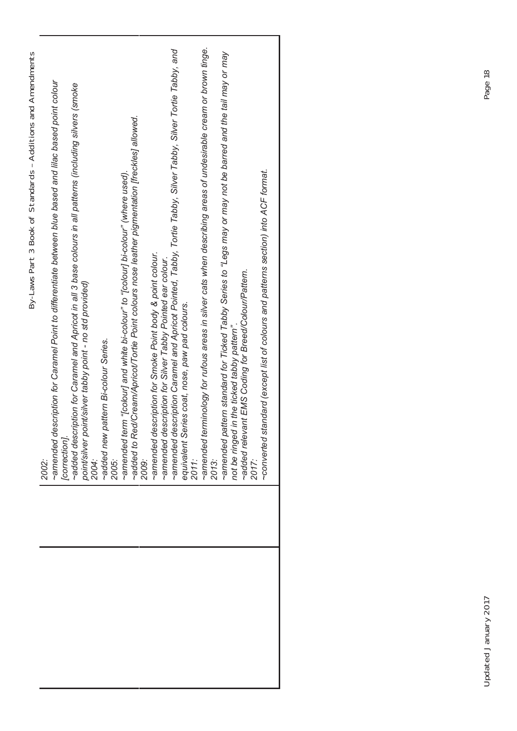| ~amended terminology for rufous areas in silver cats when describing areas of undesirable cream or brown tinge.<br>~amended description Caramel and Apricot Pointed, Tabby, Tortie Tabby, Silver Tabby, Silver Tortie Tabby, and<br>tern standard for Ticked Tabby Series to "Legs may or may not be barred and the tail may or may<br>By-Laws Part 3 Book of Standards - Additions and Amendments<br>~amended description for Caramel Point to differentiate between blue based and lilac based point colour<br>~added description for Caramel and Apricot in all 3 base colours in all patterns (including silvers (smoke<br>~added to Red/Cream/Apricot/Tortie Point colours nose leather pigmentation [freckles] allowed.<br>~amended term "[colour] and white bi-colour" to "[colour] bi-colour" (where used).<br>~amended description for Smoke Point body & point colour.<br>~amended description for Silver Tabby Pointed ear colour.<br>~added relevant EMS Coding for Breed/Colour/Pattern.<br>point/silver point/silver tabby point - no std provided)<br>equivalent Series coat, nose, paw pad colours.<br>2011:<br>not be ringed in the ticked tabby pattern"<br>~added new pattern Bi-colour Series.<br>~amended pati<br>[correction].<br>2013:<br>2009:<br>2004:<br>2005:<br>2002: |
|---------------------------------------------------------------------------------------------------------------------------------------------------------------------------------------------------------------------------------------------------------------------------------------------------------------------------------------------------------------------------------------------------------------------------------------------------------------------------------------------------------------------------------------------------------------------------------------------------------------------------------------------------------------------------------------------------------------------------------------------------------------------------------------------------------------------------------------------------------------------------------------------------------------------------------------------------------------------------------------------------------------------------------------------------------------------------------------------------------------------------------------------------------------------------------------------------------------------------------------------------------------------------------------------------|
| -converted standard (except list of colours and patterns section) into ACF format.<br>2017:                                                                                                                                                                                                                                                                                                                                                                                                                                                                                                                                                                                                                                                                                                                                                                                                                                                                                                                                                                                                                                                                                                                                                                                                       |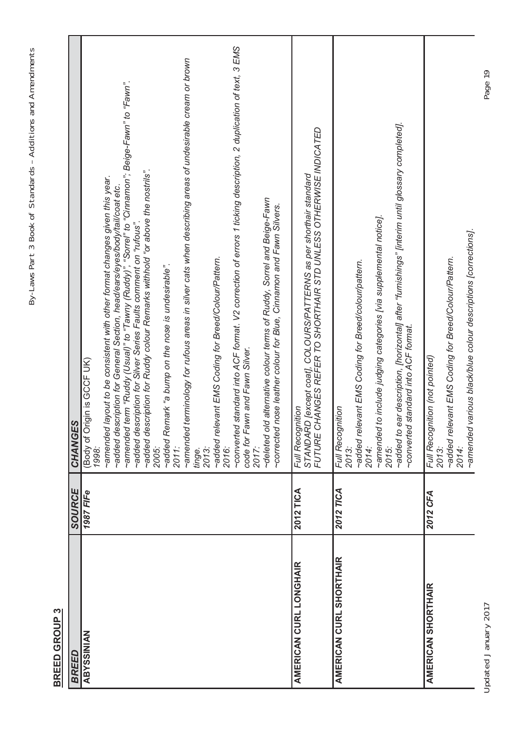By-Laws Part 3 Book of Standards - Additions and Amendments By-Laws Part 3 Book of Standards – Additions and Amendments

> **BREED GROUP 3** BREED GROUP 3

| <b>BREED</b>                  | SOURCE    | CHANGES                                                                                                                                                                                                                                                                                                                                                                                                                                                                                                                                                                                                                                                                                                                                                                                                                                                                                                                                                                              |
|-------------------------------|-----------|--------------------------------------------------------------------------------------------------------------------------------------------------------------------------------------------------------------------------------------------------------------------------------------------------------------------------------------------------------------------------------------------------------------------------------------------------------------------------------------------------------------------------------------------------------------------------------------------------------------------------------------------------------------------------------------------------------------------------------------------------------------------------------------------------------------------------------------------------------------------------------------------------------------------------------------------------------------------------------------|
| <b>ABYSSINIAN</b>             | 1987 FIFe | -converted standard into ACF format. V2 correction of errors 1 ticking description, 2 duplication of text, 3 EMS<br>terminology for rufous areas in silver cats when describing areas of undesirable cream or brown<br>~amended term "Ruddy (Usual)" to "Tawny (Ruddy)", "Sorrel" to "Cinnamon"; Beige-Fawn" to "Fawn".<br>scription for Ruddy colour Remarks withhold "or above the nostrils".<br>layout to be consistent with other format changes given this year.<br>~added description for General Section, head/ears/eyes/body/tail/coat etc.<br>-deleted old alternative colour terms of Ruddy, Sorrel and Beige-Fawn<br>scription for Silver Series Faults comment on "rufous".<br>~added relevant EMS Coding for Breed/Colour/Pattern.<br>~added Remark "a bump on the nose is undesirable".<br>code for Fawn and Fawn Silver.<br>2017:<br>(Body of Origin is GCF UK)<br>~amended<br>added de<br>added de<br>amended<br>2011:<br>2005:<br>2016:<br>1998:<br>tinge.<br>2013: |
|                               |           | corrected nose leather colour for Blue, Cinnamon and Fawn Silvers.                                                                                                                                                                                                                                                                                                                                                                                                                                                                                                                                                                                                                                                                                                                                                                                                                                                                                                                   |
| <b>AMERICAN CURL LONGHAIR</b> | 2012 TICA | FUTURE CHANGES REFER TO SHORTHAIR STD UNLESS OTHERWISE INDICATED<br>Full Recognition<br>STANDARD [except coat], COLOURS/PATTERNS as per shorthair standard<br>STANDARD [except coat], COLOURS/PATTERNS as per shorthair standard                                                                                                                                                                                                                                                                                                                                                                                                                                                                                                                                                                                                                                                                                                                                                     |
| AMERICAN CURL SHORTHAIR       | 2012 TICA | -added to ear description, [horizontal] after "furnishings" [interim until glossary completed].<br>to include judging categories [via supplemental notice].<br>~added relevant EMS Coding for Breed/colour/pattern.<br>-converted standard into ACF format.<br>Full Recognition<br>~amended<br>2015:<br>2014:<br>2013:                                                                                                                                                                                                                                                                                                                                                                                                                                                                                                                                                                                                                                                               |
| <b>AMERICAN SHORTHAIR</b>     | 2012 CFA  | ~amended various black/blue colour descriptions [corrections].<br>~added relevant EMS Coding for Breed/Colour/Pattern.<br>Full Recognition (not pointed)<br>2014:<br>2013:                                                                                                                                                                                                                                                                                                                                                                                                                                                                                                                                                                                                                                                                                                                                                                                                           |

Updated January 2017 Page 19 Updated January 2017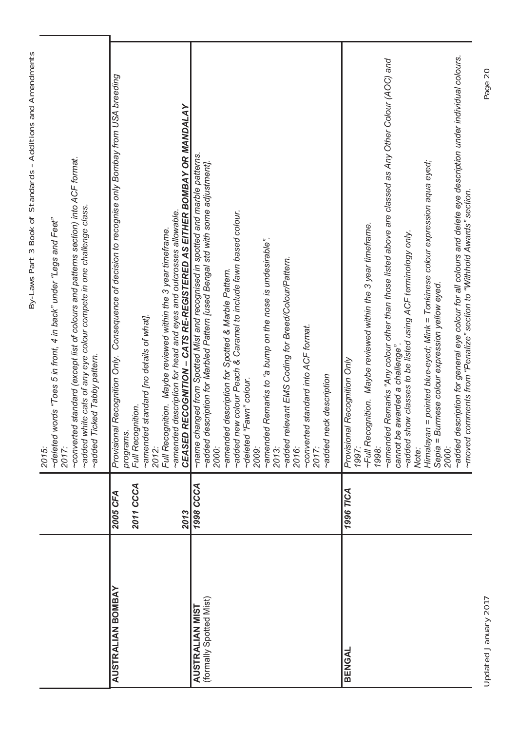|                         |           | By-Laws Part 3 Book of Standards - Additions and Amendments                                                                                                                                               |
|-------------------------|-----------|-----------------------------------------------------------------------------------------------------------------------------------------------------------------------------------------------------------|
|                         |           | words "Toes 5 in front, 4 in back" under "Legs and Feet"<br>~deleted<br>2017:<br>2015:                                                                                                                    |
|                         |           | ~converted standard (except list of colours and patterns section) into ACF format.<br>~added white cats of any eye colour compete in one challenge class.<br>Ticked Tabby pattern.<br>~added              |
| AUSTRALIAN BOMBAY       | 2005 CFA  | Consequence of decision to recognise only Bombay from USA breeding<br>Provisional Recognition Only.                                                                                                       |
|                         | 2011 CCCA | Full Recognition.<br>programs                                                                                                                                                                             |
|                         |           | ~amended standard [no details of what].<br>2012:                                                                                                                                                          |
|                         | 2013      | CEASED RECOGNITION - CATS RE-REGISTERED AS EITHER BOMBAY OR MANDALAY<br>-amended description for head and eyes and outcrosses allowable.<br>Full Recognition. Maybe reviewed within the 3 year timeframe. |
| <b>AUSTRALIAN MIST</b>  | 1998 CCCA | ~name changed from Spotted Mist and recognised in spotted and marble patterns                                                                                                                             |
| (formally Spotted Mist) |           | ~added description for Marbled Pattern [used Bengal std with some adjustment].<br>2000:                                                                                                                   |
|                         |           | ~amended description for Spotted & Marble Pattern.                                                                                                                                                        |
|                         |           | ~added new colour Peach & Caramel to include fawn based colour.                                                                                                                                           |
|                         |           | "Fawn" colour.<br>~deleted<br>2009:                                                                                                                                                                       |
|                         |           | ~amended Remarks to "a bump on the nose is undesirable".<br>2013:                                                                                                                                         |
|                         |           | ~added relevant EMS Coding for Breed/Colour/Pattern.                                                                                                                                                      |
|                         |           | 2016:                                                                                                                                                                                                     |
|                         |           | ~converted standard into ACF format.<br>2017:                                                                                                                                                             |
|                         |           | ~added neck description                                                                                                                                                                                   |
|                         |           |                                                                                                                                                                                                           |
| BENGAL                  | 1996 TICA | al Recognition Only<br>Provision<br>1997:                                                                                                                                                                 |
|                         |           | ~Full Recognition. Maybe reviewed within the 3 year timeframe.                                                                                                                                            |
|                         |           | 1998:                                                                                                                                                                                                     |
|                         |           | emended Remarks "Any colour other than those listed above are classed as Any Other Colour (AOC) and                                                                                                       |
|                         |           | ~added show classes to be listed using ACF terminology only.<br>cannot be awarded a challenge"                                                                                                            |
|                         |           | Note:                                                                                                                                                                                                     |
|                         |           | Himalayan = pointed blue-eyed; Mink = Tonkinese colour expression aqua eyed;<br>Sepia = Burmese colour expression yellow eyed                                                                             |
|                         |           | 2000:                                                                                                                                                                                                     |
|                         |           | ~added description for general eye colour for all colours and delete eye description under individual colours.<br>comments from "Penalize" section to "Withhold Awards" section.<br>~moved                |
|                         |           |                                                                                                                                                                                                           |

Updated January 2017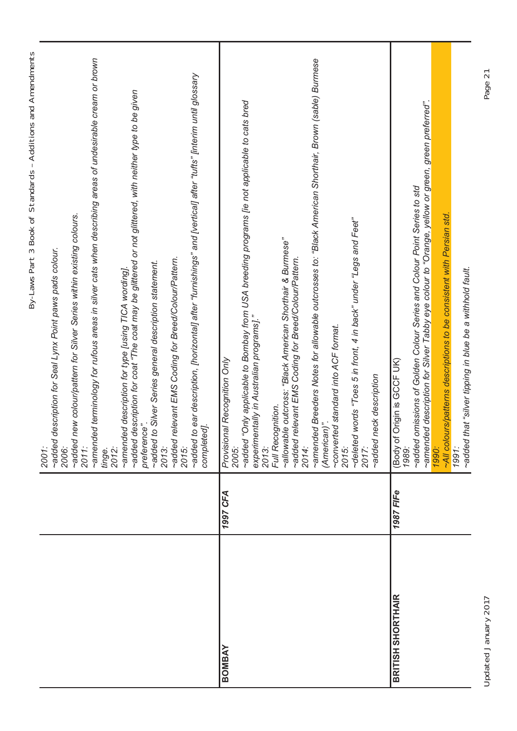| ∼All colours/pattems descriptions to be consistent with Persian std.<br>1991:<br>~allowable outcross: "Black American Shorthair & Burmese"<br>experimentally in Australian programs]."<br>~converted standard into ACF format.<br>al Recognition Only<br>Origin is GCCF UK)<br>~added neck description<br>Full Recognition.<br>(American)".<br>completed].<br>preference<br>Provision<br>(Body of<br>2013:<br>2014:<br>2015:<br>2015:<br>2013:<br>2005:<br>2006:<br>1990:<br>2011:<br>1989:<br>2012:<br>2017:<br>tinge.<br>2001:<br><b>1987 FIFe</b><br>1997 CFA<br><b>BRITISH SHORTHAIR</b><br>BOMBAY |  | By-Laws Part 3 Book of Standards - Additions and Amendments                                                                                                                |
|--------------------------------------------------------------------------------------------------------------------------------------------------------------------------------------------------------------------------------------------------------------------------------------------------------------------------------------------------------------------------------------------------------------------------------------------------------------------------------------------------------------------------------------------------------------------------------------------------------|--|----------------------------------------------------------------------------------------------------------------------------------------------------------------------------|
|                                                                                                                                                                                                                                                                                                                                                                                                                                                                                                                                                                                                        |  | ~added description for Seal Lynx Point paws pads colour.                                                                                                                   |
|                                                                                                                                                                                                                                                                                                                                                                                                                                                                                                                                                                                                        |  | ~added new colour/pattern for Silver Series within existing colours.                                                                                                       |
|                                                                                                                                                                                                                                                                                                                                                                                                                                                                                                                                                                                                        |  | ~amended terminology for rufous areas in silver cats when describing areas of undesirable cream or brown                                                                   |
|                                                                                                                                                                                                                                                                                                                                                                                                                                                                                                                                                                                                        |  | ~added description for coat "The coat may be glittered or not glittered, with neither type to be given<br>~amended description for type [using TICA wording].              |
|                                                                                                                                                                                                                                                                                                                                                                                                                                                                                                                                                                                                        |  | ~added to Silver Series general description statement.                                                                                                                     |
|                                                                                                                                                                                                                                                                                                                                                                                                                                                                                                                                                                                                        |  | ~added relevant EMS Coding for Breed/Colour/Pattern.                                                                                                                       |
|                                                                                                                                                                                                                                                                                                                                                                                                                                                                                                                                                                                                        |  | ~added to ear description, [horizontal] after "furnishings" and [vertical] after "tufts" [interim until glossary                                                           |
|                                                                                                                                                                                                                                                                                                                                                                                                                                                                                                                                                                                                        |  |                                                                                                                                                                            |
|                                                                                                                                                                                                                                                                                                                                                                                                                                                                                                                                                                                                        |  | eadded "Only applicable to Bombay from USA breeding programs [ie not applicable to cats bred                                                                               |
|                                                                                                                                                                                                                                                                                                                                                                                                                                                                                                                                                                                                        |  |                                                                                                                                                                            |
|                                                                                                                                                                                                                                                                                                                                                                                                                                                                                                                                                                                                        |  | ~added relevant EMS Coding for Breed/Colour/Pattern.                                                                                                                       |
|                                                                                                                                                                                                                                                                                                                                                                                                                                                                                                                                                                                                        |  | ~amended Breeders Notes for allowable outcrosses to: "Black American Shorthair, Brown (sable) Burmese                                                                      |
|                                                                                                                                                                                                                                                                                                                                                                                                                                                                                                                                                                                                        |  |                                                                                                                                                                            |
|                                                                                                                                                                                                                                                                                                                                                                                                                                                                                                                                                                                                        |  | ~deleted words "Toes 5 in front, 4 in back" under "Legs and Feet"                                                                                                          |
|                                                                                                                                                                                                                                                                                                                                                                                                                                                                                                                                                                                                        |  |                                                                                                                                                                            |
|                                                                                                                                                                                                                                                                                                                                                                                                                                                                                                                                                                                                        |  |                                                                                                                                                                            |
|                                                                                                                                                                                                                                                                                                                                                                                                                                                                                                                                                                                                        |  | -amended description for Silver Tabby eye colour to "Orange, yellow or green, green preferred".<br>~added omissions of Golden Colour Series and Colour Point Series to std |
|                                                                                                                                                                                                                                                                                                                                                                                                                                                                                                                                                                                                        |  |                                                                                                                                                                            |
|                                                                                                                                                                                                                                                                                                                                                                                                                                                                                                                                                                                                        |  | ~added that "silver tipping in blue be a withhold fault.                                                                                                                   |

Updated January 2017 Page 21 Updated January 2017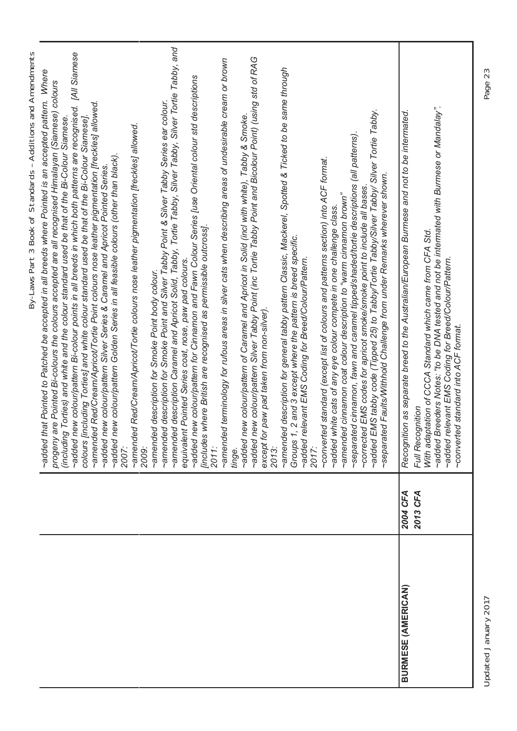|                           |                      | By-Laws Part 3 Book of Standards - Additions and Amendments                                                                                                                                                                                                                                                                                                                                                                                                                                                                                                                                                                                                                                                                                                                                                                                                                                                                                                                                                    |
|---------------------------|----------------------|----------------------------------------------------------------------------------------------------------------------------------------------------------------------------------------------------------------------------------------------------------------------------------------------------------------------------------------------------------------------------------------------------------------------------------------------------------------------------------------------------------------------------------------------------------------------------------------------------------------------------------------------------------------------------------------------------------------------------------------------------------------------------------------------------------------------------------------------------------------------------------------------------------------------------------------------------------------------------------------------------------------|
|                           |                      | ~added new colour/pattern Bi-colour points in all breeds in which both patterns are recognised. [All Siamese<br>~added that Pointed to Patched be accepted in all breeds where Pointed is an accepted pattern. Where<br>progeny are Pointed Bi-colours the colours accepted are all recognised Himalayan (Siamese) colours<br>~amended Red/Cream/Apricot/Tortie Point colours nose leather pigmentation [freckles] allowed.<br>(including Torties) and white and the colour standard used be that of the Bi-Colour Siamese.<br>colours [including Torties] and white colour standard used be that of the Bi-Colour Siamese]<br>~added new colour/pattern Golden Series in all feasible colours (other than black)<br>~added new colour/pattern Silver Series & Caramel and Apricot Pointed Series.<br>2007:                                                                                                                                                                                                    |
|                           |                      | ~amended description Caramel and Apricot Solid, Tabby, Tortie Tabby, Silver Tabby, Silver Tortie Tabby, and<br>-added new colour/pattern Silver Tabby Point (inc Tortie Tabby Point and Bicolour Point) (using std of RAG<br>~amended terminology for rufous areas in silver cats when describing areas of undesirable cream or brown<br>~added new colour/pattern for Cinnamon and Fawn Colour Series [use Oriental colour std descriptions<br>~amended description for Smoke Point and Silver Tabby Point & Silver Tabby Series ear colour.<br>-added new colour/pattern of Caramel and Apricot in Solid (incl with white), Tabby & Smoke.<br>~amended Red/Cream/Apricot/Tortie colours nose leather pigmentation [freckles] allowed.<br>where British are recognised as permissible outcross].<br>equivalent Pointed Series coat, nose, paw pad colours.<br>~amended description for Smoke Point body colour.<br>except for paw pad taken from non-silver).<br><b>[includes</b><br>2011:<br>2009:<br>tinge. |
|                           |                      | ~amended description for general tabby pattern Classic, Mackerel, Spotted & Ticked to be same through<br>~added EMS tabby code (Tipped 25) to Tabby/Tortie Tabby/Silver Tabby/ Silver Tortie Tabby.<br>~separated cinnamon, fawn and caramel tipped/shaded/tortie descriptions (all patterns)<br>-converted standard (except list of colours and patterns section) into ACF format.<br>~separated Faults/Withhold Challenge from under Remarks wherever shown.<br>~corrected EMS codes for apricot smoke/smoke point to include all bases.<br>~amended cinnamon coat colour description to "warm cinnamon brown"<br>~added white cats of any eye colour compete in one challenge class.<br>, 2 and 3 except where the pattern is breed specific.<br>~added relevant EMS Coding for Breed/Colour/Pattern.<br>Groups 1<br>2017:<br>2013:                                                                                                                                                                         |
| <b>BURMESE (AMERICAN)</b> | 2004 CFA<br>2013 CFA | ~added Breeders Notes: "to be DNA tested and not be intermated with Burmese or Mandalay".<br>Recognition as separate breed to the Australian/European Burmese and not to be intermated.<br>With adaptation of CCCA Standard which came from CFA Std.<br>~added relevant EMS Coding for Breed/Colour/Pattern.<br>~converted standard into ACF format.<br>Full Recognition                                                                                                                                                                                                                                                                                                                                                                                                                                                                                                                                                                                                                                       |

Updated January 2017 Page 23 Updated January 2017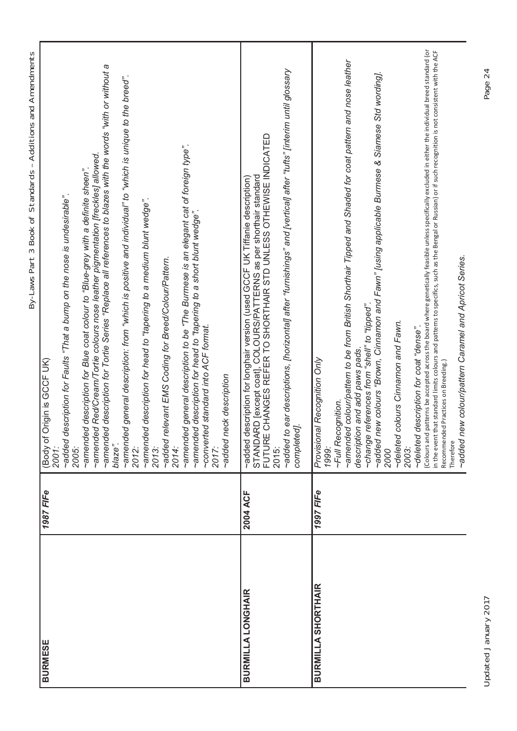|                           |           | By-Laws Part 3 Book of Standards - Additions and Amendments                                                                                                                                                                                                                                                                                                                                                                                                                                                                                                                                                                                                                                                                                                                                                                                                                                                                                 |
|---------------------------|-----------|---------------------------------------------------------------------------------------------------------------------------------------------------------------------------------------------------------------------------------------------------------------------------------------------------------------------------------------------------------------------------------------------------------------------------------------------------------------------------------------------------------------------------------------------------------------------------------------------------------------------------------------------------------------------------------------------------------------------------------------------------------------------------------------------------------------------------------------------------------------------------------------------------------------------------------------------|
| <b>BURMESE</b>            | 1987 FIFe | ~amended description for Tortie Series "Replace all references to blazes with the words "with or without a<br>-amended general description: from "which is positive and individual" to "which is unique to the breed".<br>~amended general description to be "The Burmese is an elegant cat of foreign type".<br>~amended Red/Cream/Tortie colours nose leather pigmentation [freckles] allowed.<br>~amended description for Blue coat colour to "Blue-grey with a definite sheen".<br>~added description for Faults "That a bump on the nose is undesirable".<br>~amended description for head to "tapering to a medium blunt wedge".<br>~amended description for head to "tapering to a short blunt wedge".<br>~added relevant EMS Coding for Breed/Colour/Pattern.<br>~converted standard into ACF format.<br>Origin is GCCF UK)<br>~added neck description<br>(Body of<br>blaze".<br>2012:<br>2005:<br>2014:<br>2013:<br>2017:<br>2001. |
| <b>BURMILLA LONGHAIR</b>  | 2004 ACF  | ~added to ear descriptions, [horizontal] after "furnishings" and [vertical] after "tufts" [interim until glossary<br>CHANGES REFER TO SHORTHAIR STD UNLESS OTHEWISE INDICATED<br>STANDARD [except coat], COLOURS/PATTERNS as per shorthair standard<br>FUTURE CHANGES REFER TO SHORTHAIR STD UNLESS OTHEWISE IN<br>lescription for longhair version (used GCCF UK Tiffanie description)<br>completed]<br>peppe~<br>2015:                                                                                                                                                                                                                                                                                                                                                                                                                                                                                                                    |
| <b>BURMILLA SHORTHAIR</b> | 1997 FIFe | patterns be accepted across the board where genetically feasible unless specifically excluded in either the individual breed standard (or<br>in the event that standard limits colours and patterns to specifics, such as the Bengal or Russian) or if such recognition is not consistent with the ACF<br>~amended colour/pattern to be from British Shorthair Tipped and Shaded for coat pattern and nose leather<br>~added new colours "Brown, Cinnamon and Fawn" [using applicable Burmese & Siamese Std wording].<br>~added new colour/pattern Caramel and Apricot Series.<br>"beddi" o "llens" mou seouenea ebueyo<br>colours Cinnamon and Fawn.<br>description for coat "dense"<br>description and add paws pads.<br>al Recognition Only<br>Recommended Practices on Breeding.)<br>1999:<br>∼Full Recognition.<br>Provision<br>~deleted<br>~deleted<br>Colours and<br>Therefore<br>2003:<br>2000                                      |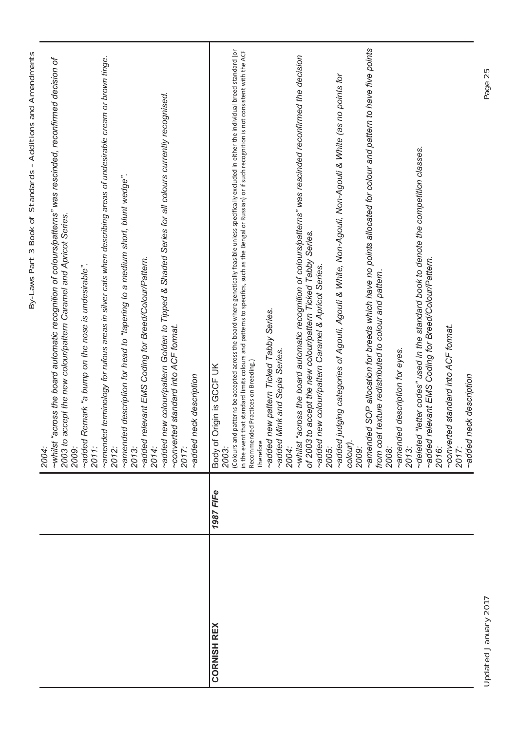|                    |           | By-Laws Part 3 Book of Standards - Additions and Amendments                                                                                                                                        |
|--------------------|-----------|----------------------------------------------------------------------------------------------------------------------------------------------------------------------------------------------------|
|                    |           | ~whilst "across the board automatic recognition of colours/patterns" was rescinded, reconfirmed decision of<br>2003 to accept the new colour/pattern Caramel and Apricot Series.<br>2009:<br>2004: |
|                    |           | ~added Remark "a bump on the nose is undesirable".<br>2011:                                                                                                                                        |
|                    |           | ~amended terminology for rufous areas in silver cats when describing areas of undesirable cream or brown tinge.<br>2012:                                                                           |
|                    |           | ~amended description for head to "tapering to a medium short, blunt wedge".<br>2013:                                                                                                               |
|                    |           | ~added relevant EMS Coding for Breed/Colour/Pattern.<br>2014:                                                                                                                                      |
|                    |           | ~added new colour/pattern Golden to Tipped & Shaded Series for all colours currently recognised.                                                                                                   |
|                    |           | ~converted standard into ACF format.<br>2017:                                                                                                                                                      |
|                    |           | ~added neck description                                                                                                                                                                            |
| <b>CORNISH REX</b> | 1987 FIFe | Body of Origin is GCCF UK<br>2003:                                                                                                                                                                 |
|                    |           | patterns be accepted across the board where genetically feasible unless specifically excluded in either the individual breed standard (or<br>(Colours and                                          |
|                    |           | in the event that standard limits colours and patterns to specifics, such as the Bengal or Russian) or if such recognition is not consistent with the ACF<br>Recommended Practices on Breeding.)   |
|                    |           | Therefore                                                                                                                                                                                          |
|                    |           | ~added new pattern Ticked Tabby Series.                                                                                                                                                            |
|                    |           | ~added Mink and Sepia Series.                                                                                                                                                                      |
|                    |           | 2004:                                                                                                                                                                                              |
|                    |           | ~whilst "across the board automatic recognition of colours/patterns" was rescinded reconfirmed the decision<br>of 2003 to accept the new colour/pattern Ticked Tabby Series.                       |
|                    |           | ~added new colour/pattern Caramel & Apricot Series.                                                                                                                                                |
|                    |           | 2005:                                                                                                                                                                                              |
|                    |           | ~added judging categories of Agouti, Agouti & White, Non-Agouti, Non-Agouti & White (as no points for<br>colour).<br>2009:                                                                         |
|                    |           | ~amended SOP allocation for breeds which have no points allocated for colour and pattern to have five points                                                                                       |
|                    |           | from coat texture redistributed to colour and pattern.<br>2008:                                                                                                                                    |
|                    |           | ~amended description for eyes.<br>2013:                                                                                                                                                            |
|                    |           | ~deleted "letter codes" used in the standard book to denote the competition classes.                                                                                                               |
|                    |           | ~added relevant EMS Coding for Breed/Colour/Pattern.<br>2016:                                                                                                                                      |
|                    |           | ~converted standard into ACF format.                                                                                                                                                               |
|                    |           | 2017:                                                                                                                                                                                              |
|                    |           | eck description<br>~added n                                                                                                                                                                        |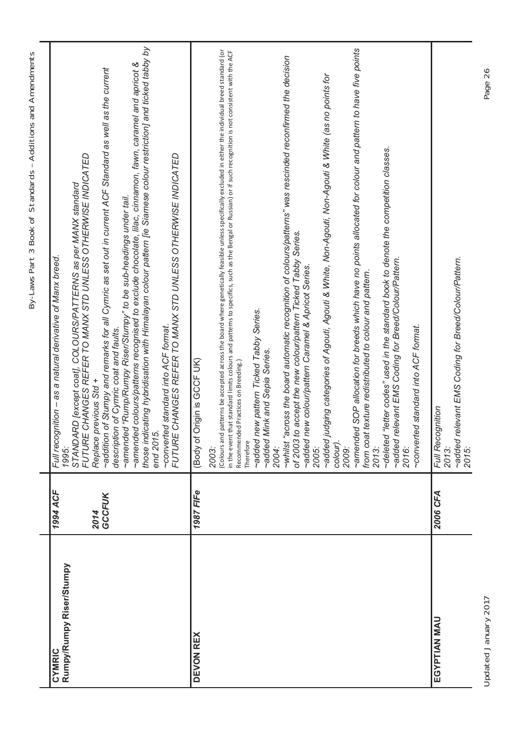| í<br>J                                                        |
|---------------------------------------------------------------|
| i<br>ī<br>:<br>ļ                                              |
| i<br>ׇ֖֖֖֖֖ׅ֧֪ׅ֖֚֚֚֚֚֚֚֚֚֚֚֚֚֚֚֚֚֚֚֚֚֚֚֚֚֚֚֚֚֬֕֝֝֓֞<br>֕<br>l |
| I<br>5                                                        |
| ֕                                                             |
| ١<br>(<br>I<br>l<br>١                                         |
| ١<br>١<br>١                                                   |
|                                                               |
| ֖֖֖֖֖֖֧ׅ֖֧ׅ֖֖֚֚֚֚֚֚֚֚֚֚֚֚֚֚֚֚֚֚֚֚֚֚֚֚֡֝֝֬<br>l                |
| )<br>,<br>Ì<br>֚֕֡֡<br>I<br>١<br>ı<br>Ì                       |

| Rumpy/Rumpy Riser/Stumpy<br>CYMRIC | 1994 ACF<br>GCCFUK<br>2014 | those indicating hybridisation with Himalayan colour pattern [ie Siamese colour restriction] and ticked tabby by<br>~amended colours/patterns recognised to exclude chocolate, lilac, cinnamon, fawn, caramel and apricot &<br>of Stumpy and remarks for all Cymric as set out in current ACF Standard as well as the current<br>FUTURE CHANGES REFER TO MANX STD UNLESS OTHERWISE INDICATED<br>FUTURE CHANGES REFER TO MANX STD UNLESS OTHERWISE INDICATED<br>STANDARD [except coat], COLOURS/PATTERNS as per MANX standard<br>~amended "Rump/Rumpy Riser/Stumpy" to be sub-headings under tail.<br>as a natural derivative of Manx breed.<br>~converted standard into ACF format.<br>description of Cymric coat and faults.<br>Replace previous Std +<br>Full recognition -<br>~addition<br>end 2015<br>1995:                                                                                                                                                                                                                                                                                                                                                                                                                                |
|------------------------------------|----------------------------|------------------------------------------------------------------------------------------------------------------------------------------------------------------------------------------------------------------------------------------------------------------------------------------------------------------------------------------------------------------------------------------------------------------------------------------------------------------------------------------------------------------------------------------------------------------------------------------------------------------------------------------------------------------------------------------------------------------------------------------------------------------------------------------------------------------------------------------------------------------------------------------------------------------------------------------------------------------------------------------------------------------------------------------------------------------------------------------------------------------------------------------------------------------------------------------------------------------------------------------------|
| <b>DEVON REX</b>                   | 1987 FIFe                  | ~amended SOP allocation for breeds which have no points allocated for colour and pattern to have five points<br>patterns be accepted across the board where genetically feasible unless specifically excluded in either the individual breed standard (or<br>in the event that standard limits colours and patterns to specifics, such as the Bengal or Russian) or if such recognition is not consistent with the ACF<br>~whilst "across the board automatic recognition of colours/patterns" was rescinded reconfirmed the decision<br>~added judging categories of Agouti, Agouti & White, Non-Agouti, Non-Agouti & White (as no points for<br>~deleted "letter codes" used in the standard book to denote the competition classes.<br>of 2003 to accept the new colour/pattern Ticked Tabby Series.<br>~added relevant EMS Coding for Breed/Colour/Pattern.<br>ew colour/pattern Caramel & Apricot Series.<br>from coat texture redistributed to colour and pattern.<br>~added new pattern Ticked Tabby Series.<br>~added Mink and Sepia Series.<br>Origin is GCCF UK)<br>Recommended Practices on Breeding.)<br>(Colours and<br>$\sim$ added n<br>(Body of<br>Therefore<br>colour).<br>2004:<br>2005:<br>2009:<br>2016:<br>2013:<br>2003: |
|                                    |                            | ~converted standard into ACF format.                                                                                                                                                                                                                                                                                                                                                                                                                                                                                                                                                                                                                                                                                                                                                                                                                                                                                                                                                                                                                                                                                                                                                                                                           |
| EGYPTIAN MAU                       | 2006 CFA                   | ~added relevant EMS Coding for Breed/Colour/Pattern.<br>Full Recognition<br>2013:<br>2015:                                                                                                                                                                                                                                                                                                                                                                                                                                                                                                                                                                                                                                                                                                                                                                                                                                                                                                                                                                                                                                                                                                                                                     |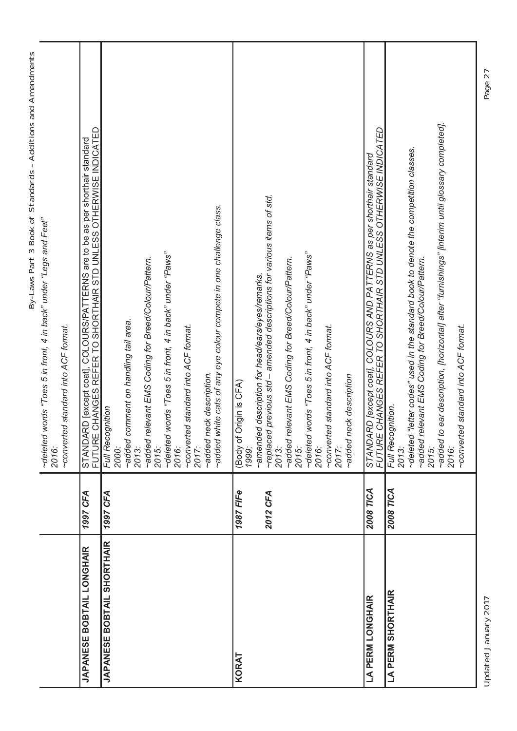|                            |                  | By-Laws Part 3 Book of Standards - Additions and Amendments                                                                                      |
|----------------------------|------------------|--------------------------------------------------------------------------------------------------------------------------------------------------|
|                            |                  | words "Toes 5 in front, 4 in back" under "Legs and Feet"<br>~deleted<br>2016:                                                                    |
|                            |                  | ~converted standard into ACF format.                                                                                                             |
| JAPANESE BOBTAIL LONGHAIR  | 1997 CFA         | STANDARD [except coat], COLOURS/PATTERNS are to be as per shorthair standard<br>FUTURE CHANGES REFER TO SHORTHAIR STD UNLESS OTHERWISE INDICATED |
| JAPANESE BOBTAIL SHORTHAIR | 1997 CFA         | Full Recognition                                                                                                                                 |
|                            |                  | ~added comment on handling tail area.<br>2000:                                                                                                   |
|                            |                  | ~added relevant EMS Coding for Breed/Colour/Pattern.<br>2013:                                                                                    |
|                            |                  | 2015:<br>~deleted <sub>b</sub>                                                                                                                   |
|                            |                  | words "Toes 5 in front, 4 in back" under "Paws"<br>2016:                                                                                         |
|                            |                  | ~converted standard into ACF format.<br>2017:                                                                                                    |
|                            |                  | ~added neck description.                                                                                                                         |
|                            |                  | ~added white cats of any eye colour compete in one challenge class.                                                                              |
| KORAT                      | <b>1987 FIFe</b> | (Body of Origin is CFA)<br>1999:                                                                                                                 |
|                            |                  | ~amended description for head/ears/eyes/remarks.                                                                                                 |
|                            | 2012 CFA         | ~replaced previous std – amended descriptions for various items of std.<br>2013:                                                                 |
|                            |                  | ~added relevant EMS Coding for Breed/Colour/Pattern.<br>2015:                                                                                    |
|                            |                  | words "Toes 5 in front, 4 in back" under "Paws"<br>~deleted                                                                                      |
|                            |                  | 2016:                                                                                                                                            |
|                            |                  | ~converted standard into ACF format.<br>2017:                                                                                                    |
|                            |                  | ~added neck description                                                                                                                          |
| <b>LA PERM LONGHAIR</b>    | 2008 TICA        | STANDARD [except coat], COLOURS AND PATTERNS as per shorthair standard                                                                           |
|                            |                  | FUTURE CHANGES REFER TO SHORTHAIR STD UNLESS OTHERWISE INDICATED                                                                                 |
| <b>LA PERM SHORTHAIR</b>   | 2008 TICA        | Full Recognition.<br>2013:                                                                                                                       |
|                            |                  | ~deleted "letter codes" used in the standard book to denote the competition classes.<br>~added relevant EMS Coding for Breed/Colour/Pattern.     |
|                            |                  | 2015:                                                                                                                                            |
|                            |                  | ~added to ear description, [horizontal] after "furnishings" [interim until glossary completed].<br>2016:                                         |
|                            |                  | ~converted standard into ACF format.                                                                                                             |
|                            |                  |                                                                                                                                                  |

Updated January 2017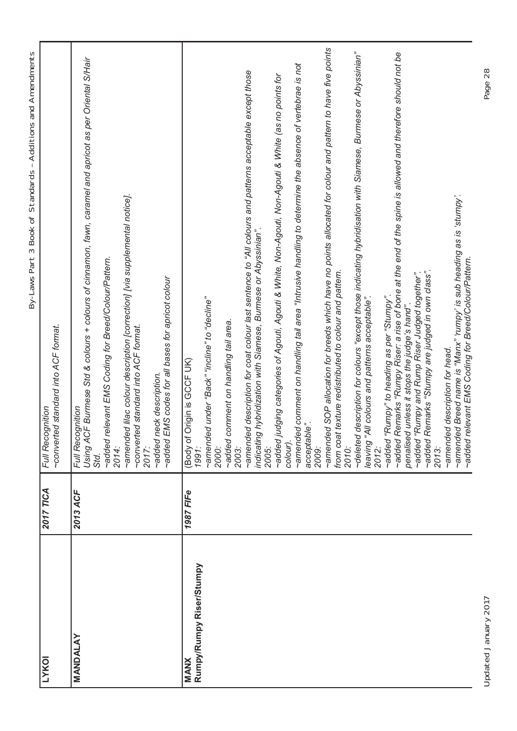| ١<br>J                        |
|-------------------------------|
|                               |
|                               |
|                               |
|                               |
|                               |
|                               |
|                               |
| ؟<br>با                       |
|                               |
|                               |
|                               |
| j                             |
| Ī                             |
| :<br>S                        |
| ¢                             |
| l<br>֕                        |
| S                             |
| $\overline{\phantom{a}}$<br>١ |
|                               |
|                               |
|                               |
|                               |
| l                             |
|                               |
| I                             |
|                               |
|                               |
| i<br>i                        |
| ١                             |
|                               |
| 5                             |
|                               |
|                               |
|                               |
|                               |
|                               |
| I<br>)                        |
| I                             |
|                               |
| )                             |
|                               |
| $\overline{\phantom{a}}$<br>١ |
| $\overline{\phantom{a}}$      |
|                               |
|                               |
| J                             |
|                               |
|                               |
|                               |
| j<br>Ì                        |
| l                             |
| )                             |
|                               |
|                               |
| j<br>d                        |
|                               |
| Ī                             |
| ١                             |
| ι<br>J                        |

| <b>LYKOI</b>                            | 2017 TICA | ~converted standard into ACF format.<br>Full Recognition                                                                                                                                                                                                                                                                                                                                                                                                                                                                                                                                                                                                                                                                                                                                                                                                                                                                                                                                                                                                                                                                                                                                                                                                                               |
|-----------------------------------------|-----------|----------------------------------------------------------------------------------------------------------------------------------------------------------------------------------------------------------------------------------------------------------------------------------------------------------------------------------------------------------------------------------------------------------------------------------------------------------------------------------------------------------------------------------------------------------------------------------------------------------------------------------------------------------------------------------------------------------------------------------------------------------------------------------------------------------------------------------------------------------------------------------------------------------------------------------------------------------------------------------------------------------------------------------------------------------------------------------------------------------------------------------------------------------------------------------------------------------------------------------------------------------------------------------------|
| <b>MANDALAY</b>                         | 2013 ACF  | Using ACF Burmese Std & colours + colours of cinnamon, fawn, caramel and apricot as per Oriental S/Hair<br>~amended lilac colour description [correction] [via supplemental notice].<br>~added relevant EMS Coding for Breed/Colour/Pattern.<br>~added EMS codes for all bases for apricot colour<br>~converted standard into ACF format.<br>~added neck description.<br>Full Recognition<br>2017:<br>2014:<br>Std.                                                                                                                                                                                                                                                                                                                                                                                                                                                                                                                                                                                                                                                                                                                                                                                                                                                                    |
| Rumpy/Rumpy Riser/Stumpy<br><b>MANX</b> | 1987 FIFe | ~amended SOP allocation for breeds which have no points allocated for colour and pattern to have five points<br>~deleted description for colours "except those indicating hybridisation with Siamese, Burmese or Abyssinian"<br>~added Remarks "Rumpy Riser: a rise of bone at the end of the spine is allowed and therefore should not be<br>emended comment on handling tail area "Intrusive handling to determine the absence of vertebrae is not<br>~amended description for coat colour last sentence to "All colours and patterns acceptable except those<br>~added judging categories of Agouti, Agouti & White, Non-Agouti, Non-Agouti & White (as no points for<br>indicating hybridization with Siamese, Burmese or Abyssinian".<br>~added "Rumpy and Rump Riser Judged together".<br>~added Remarks "Stumpy are judged in own class".<br>from coat texture redistributed to colour and pattern.<br>~added "Rumpy" to heading as per "Stumpy".<br>~amended under "Back" "incline" to "decline"<br>leaving "All colours and patterns acceptable".<br>penalised unless it stops the judge's hand".<br>~added comment on handling tail area.<br>(Body of Origin is GCCF UK)<br>acceptable".<br>colour).<br>2010:<br>2013:<br>2003:<br>2009:<br>2012:<br>2000:<br>2005:<br>1991: |
|                                         |           | -amended Breed name is "Manx" 'rumpy' is sub heading as is 'stumpy'.<br>~added relevant EMS Coding for Breed/Colour/Pattern.<br>~amended description for head.                                                                                                                                                                                                                                                                                                                                                                                                                                                                                                                                                                                                                                                                                                                                                                                                                                                                                                                                                                                                                                                                                                                         |

Updated January 2017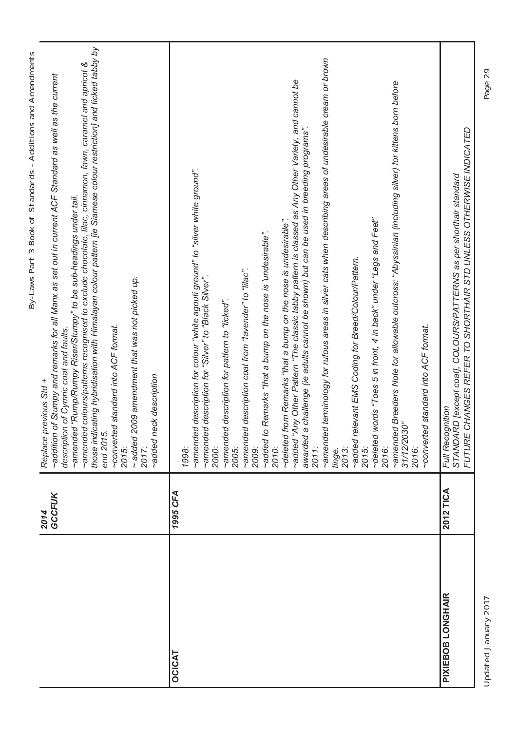|                   |                | By-Laws Part 3 Book of Standards - Additions and Amendments                                                                                                                                                                                                                                                                                                                                                                                                                                                                                                                                                                                                                                                                                                                                                                                                                                                                                                                                                                                                                                           |
|-------------------|----------------|-------------------------------------------------------------------------------------------------------------------------------------------------------------------------------------------------------------------------------------------------------------------------------------------------------------------------------------------------------------------------------------------------------------------------------------------------------------------------------------------------------------------------------------------------------------------------------------------------------------------------------------------------------------------------------------------------------------------------------------------------------------------------------------------------------------------------------------------------------------------------------------------------------------------------------------------------------------------------------------------------------------------------------------------------------------------------------------------------------|
|                   | GCCFUK<br>2014 | those indicating hybridisation with Himalayan colour pattern [ie Siamese colour restriction] and ticked tabby by<br>~amended colours/patterns recognised to exclude chocolate, lilac, cinnamon, fawn, caramel and apricot &<br>~addition of Stumpy and remarks for all Manx as set out in current ACF Standard as well as the current<br>~amended "Rump/Rumpy Riser/Stumpy" to be sub-headings under tail.<br>2009 amendment that was not picked up.<br>~converted standard into ACF format.<br>description of Cymric coat and faults.<br>added neck description<br>previous Std +<br>end 2015<br>$~\sim$ added<br>Replace<br>2015:<br>2017:                                                                                                                                                                                                                                                                                                                                                                                                                                                          |
| <b>OCICAT</b>     | 1995 CFA       | 1998:                                                                                                                                                                                                                                                                                                                                                                                                                                                                                                                                                                                                                                                                                                                                                                                                                                                                                                                                                                                                                                                                                                 |
|                   |                | ~amended terminology for rufous areas in silver cats when describing areas of undesirable cream or brown<br>~added "Any Other Pattern "The classic tabby pattern is classed as Any Other Variety, and cannot be<br>-amended Breeders Note for allowable outcross: "Abyssinian (including silver) for kittens born before<br>a challenge (ie adults cannot be shown) but can be used in breeding programs".<br>-amended description for colour "white agouti ground" to "silver white ground".<br>words "Toes 5 in front, 4 in back" under "Legs and Feet"<br>~deleted from Remarks "that a bump on the nose is undesirable".<br>~added to Remarks "that a bump on the nose is 'undesirable".<br>~added relevant EMS Coding for Breed/Colour/Pattern.<br>~amended description coat from "lavender" to "lilac".<br>~amended description for "Silver" to "Black Silver".<br>~amended description for pattern to "ticked".<br>-converted standard into ACF format.<br>31/12/2030"<br>awarded<br>$\sim$ deleted<br>2010:<br>2015:<br>2016:<br>2011:<br>2016:<br>2000:<br>2005:<br>2009:<br>2013:<br>tinge. |
| PIXIEBOB LONGHAIR | 2012 TICA      | FUTURE CHANGES REFER TO SHORTHAIR STD UNLESS OTHERWISE INDICATED<br>IRD [except coat], COLOURS/PATTERNS as per shorthair standard<br>Full Recognition<br><b>STANDA</b>                                                                                                                                                                                                                                                                                                                                                                                                                                                                                                                                                                                                                                                                                                                                                                                                                                                                                                                                |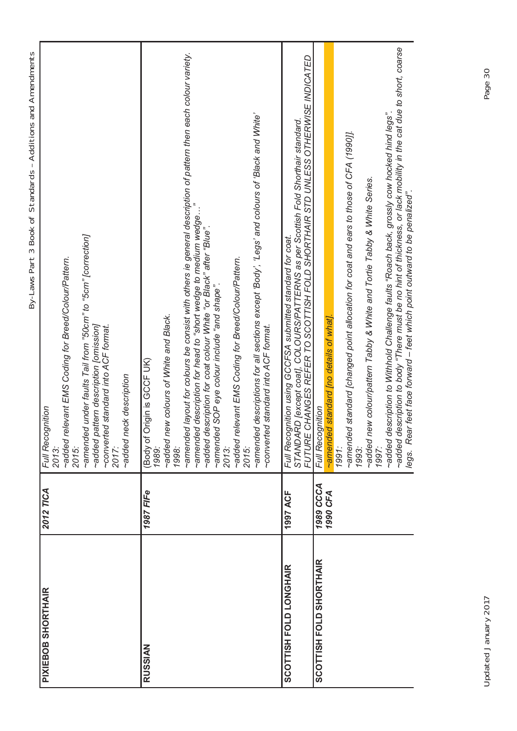| ١<br>֕                                                                  |
|-------------------------------------------------------------------------|
|                                                                         |
|                                                                         |
|                                                                         |
|                                                                         |
|                                                                         |
|                                                                         |
|                                                                         |
|                                                                         |
|                                                                         |
|                                                                         |
|                                                                         |
|                                                                         |
| l                                                                       |
|                                                                         |
| ₹<br>į                                                                  |
|                                                                         |
| :<br>s<br>C                                                             |
|                                                                         |
|                                                                         |
| í<br>)                                                                  |
|                                                                         |
| ١                                                                       |
|                                                                         |
|                                                                         |
|                                                                         |
| ֕                                                                       |
|                                                                         |
|                                                                         |
|                                                                         |
|                                                                         |
| I                                                                       |
|                                                                         |
| ١                                                                       |
| 3<br>1                                                                  |
| ļ                                                                       |
|                                                                         |
|                                                                         |
| 5<br>I                                                                  |
|                                                                         |
| I                                                                       |
|                                                                         |
|                                                                         |
|                                                                         |
| I<br>֚֕֕֡                                                               |
|                                                                         |
|                                                                         |
|                                                                         |
| ¢<br>$\mathbf{I}$                                                       |
|                                                                         |
|                                                                         |
| I<br>I                                                                  |
| J<br>I                                                                  |
|                                                                         |
| ١                                                                       |
|                                                                         |
| )                                                                       |
|                                                                         |
|                                                                         |
| j                                                                       |
| ֖֖֖֖֖֖ׅ֖֧ׅׅ֖֖֧ׅ֖֧֧֪ׅ֖֧ׅ֧֧֚֚֚֚֚֚֚֚֚֚֚֚֚֚֚֚֚֚֚֚֚֚֚֚֚֡֝֝֝֓֞֝֬֝֬֞<br>I      |
| l                                                                       |
|                                                                         |
| ١                                                                       |
|                                                                         |
|                                                                         |
| ֖֖֖֖֖֖ׅ֖֧ׅׅ֖֖֧ׅ֖֧֧֪ׅ֖֧ׅ֧֧֚֚֚֚֚֚֚֚֚֚֚֚֚֚֚֚֚֚֚֚֚֚֚֚֚֡֝֝֝֓֞֝֬֝֬֞<br>١<br>Ï |
|                                                                         |
| l<br>l                                                                  |
|                                                                         |
| ١                                                                       |
| ι<br>J                                                                  |
|                                                                         |

| <b>PIXIEBOB SHORTHAIR</b>      | 2012 TICA | Full Recognition                                                                                                                                                                             |
|--------------------------------|-----------|----------------------------------------------------------------------------------------------------------------------------------------------------------------------------------------------|
|                                |           | ~added relevant EMS Coding for Breed/Colour/Pattern.<br>2013:                                                                                                                                |
|                                |           | 2015:                                                                                                                                                                                        |
|                                |           | ~amended under faults Tail from "50cm" to "5cm" [correction]                                                                                                                                 |
|                                |           | ~added pattern description [omission]<br>~converted standard into ACF format.                                                                                                                |
|                                |           | 2017:                                                                                                                                                                                        |
|                                |           | ~added neck description                                                                                                                                                                      |
| <b>RUSSIAN</b>                 | 1987 FIFe | Origin is GCF UK)<br>(Body of                                                                                                                                                                |
|                                |           | 1989:                                                                                                                                                                                        |
|                                |           | ~added new colours of White and Black.                                                                                                                                                       |
|                                |           | ~amended layout for colours be consist with others ie general description of pattern then each colour variety.<br>1998:                                                                      |
|                                |           | -amended description for head to "short wedge to medium wedge.                                                                                                                               |
|                                |           | ~added description for coat colour White "or Black" after "Blue".                                                                                                                            |
|                                |           | ~amended SOP eye colour include "and shape".                                                                                                                                                 |
|                                |           | 2013:                                                                                                                                                                                        |
|                                |           | ~added relevant EMS Coding for Breed/Colour/Pattern.                                                                                                                                         |
|                                |           | 2015:                                                                                                                                                                                        |
|                                |           | ~amended descriptions for all sections except 'Body', 'Legs' and colours of 'Black and White'                                                                                                |
|                                |           | ~converted standard into ACF format.                                                                                                                                                         |
| <b>SCOTTISH FOLD LONGHAIR</b>  | 1997 ACF  | STANDARD [except coat], COLOURS/PATTERNS as per Scottish Fold Shorthair standard<br>Full Recognition using GCCFSA submitted standard for coat.                                               |
|                                |           | FUTURE CHANGES REFER TO SCOTTISH FOLD SHORTHAIR STD UNLESS OTHERWISE INDICATED                                                                                                               |
| <b>SCOTTISH FOLD SHORTHAIR</b> | 1989 CCCA | Full Recognition                                                                                                                                                                             |
|                                | 1990 CFA  | ~amended standard [no details of what].                                                                                                                                                      |
|                                |           | 1991:                                                                                                                                                                                        |
|                                |           | ~amended standard [changed point allocation for coat and ears to those of CFA (1990]].<br>1993:                                                                                              |
|                                |           |                                                                                                                                                                                              |
|                                |           | ~added new colour/pattern Tabby & White and Tortie Tabby & White Series.<br>1997:                                                                                                            |
|                                |           | ~added description to Withhold Challenge faults "Roach back, grossly cow hocked hind legs".                                                                                                  |
|                                |           | ~added description to body "There must be no hint of thickness, or lack mobility in the cat due to short, coarse<br>legs. Rear feet face forward - feet which point outward to be penalized" |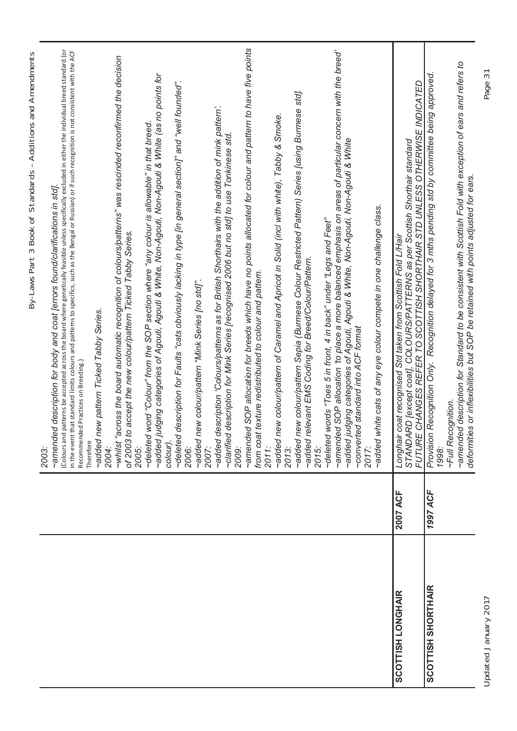|                           |          | By-Laws Part 3 Book of Standards - Additions and Amendments                                                                                                                                                                                                                                                                                                                                                                                                        |
|---------------------------|----------|--------------------------------------------------------------------------------------------------------------------------------------------------------------------------------------------------------------------------------------------------------------------------------------------------------------------------------------------------------------------------------------------------------------------------------------------------------------------|
|                           |          | patterns be accepted across the board where genetically feasible unless specifically excluded in either the individual breed standard (or<br>in the event that standard limits colours and patterns to specifics, such as the Bengal or Russian) or if such recognition is not consistent with the ACF<br>~amended description for body and coat [errors found/clarifications in std].<br>Recommended Practices on Breeding.)<br>Colours and<br>Therefore<br>2003: |
|                           |          | ew pattern Ticked Tabby Series.<br>~added n<br>2004:                                                                                                                                                                                                                                                                                                                                                                                                               |
|                           |          | ~whilst "across the board automatic recognition of colours/patterns" was rescinded reconfirmed the decision<br>of 2003 to accept the new colour/pattern Ticked Tabby Series.<br>2005:                                                                                                                                                                                                                                                                              |
|                           |          | ~added judging categories of Agouti, Agouti & White, Non-Agouti, Non-Agouti & White (as no points for<br>word "Colour" from the SOP section where "any colour is allowable" in that breed.<br>~deleted                                                                                                                                                                                                                                                             |
|                           |          | description for Faults "cats obviously lacking in type [in general section]" and "well founded".<br>~deleted<br>colour).<br>2006:                                                                                                                                                                                                                                                                                                                                  |
|                           |          | ew colour/pattern "Mink Series [no std]".<br>~added n<br>2007:                                                                                                                                                                                                                                                                                                                                                                                                     |
|                           |          | ~added description 'Colours/patterns as for British Shorthairs with the addition of mink pattern'.<br>description for Mink Series [recognised 2006 but no std] to use Tonkinese std<br>~clarified<br>2009:                                                                                                                                                                                                                                                         |
|                           |          | ~amended SOP allocation for breeds which have no points allocated for colour and pattern to have five points<br>from coat texture redistributed to colour and pattern.<br>2011:                                                                                                                                                                                                                                                                                    |
|                           |          | -added new colour/pattern of Caramel and Apricot in Solid (incl with white), Tabby & Smoke<br>2013:                                                                                                                                                                                                                                                                                                                                                                |
|                           |          | ~added new colour/pattern Sepia (Burmese Colour Restricted Pattern) Series [using Burmese std].<br>~added relevant EMS Coding for Breed/Colour/Pattern.<br>2015:                                                                                                                                                                                                                                                                                                   |
|                           |          | ~amended SOP allocation 'to place a more balanced emphasis on areas of particular concern with the breed'<br>~added judging categories of Agouti, Agouti & White, Non-Agouti, Non-Agouti & White<br>words "Toes 5 in front, 4 in back" under "Legs and Feet"<br>~converted standard into ACF format<br>~deleted                                                                                                                                                    |
|                           |          | ~added white cats of any eye colour compete in one challenge class.<br>2017:                                                                                                                                                                                                                                                                                                                                                                                       |
| <b>SCOTTISH LONGHAIR</b>  | 2007 ACF | CHANGES REFER TO SCOTTISH SHORTHAIR STD UNLESS OTHERWISE INDICATED<br>STANDARD [except coat], COLOURS/PATTERNS as per Scottish Shorthair standard<br>coat recognised Std taken from Scottish Fold L/Hair<br>Longhair<br><b>FUTURE</b>                                                                                                                                                                                                                              |
| <b>SCOTTISH SHORTHAIR</b> | 1997 ACF | Recognition Only. Recognition delayed for 3 mths pending std by committee being approved<br>Provision<br>1998:                                                                                                                                                                                                                                                                                                                                                     |
|                           |          | ~amended description for Standard to be consistent with Scottish Fold with exception of ears and refers to<br>deformities or inflexibilities but SOP be retained with points adjusted for ears.<br>~Full Recognition.                                                                                                                                                                                                                                              |
| Updated January 2017      |          | Page 31                                                                                                                                                                                                                                                                                                                                                                                                                                                            |

∠<br>ר

Ć. ັນ<br>ອອ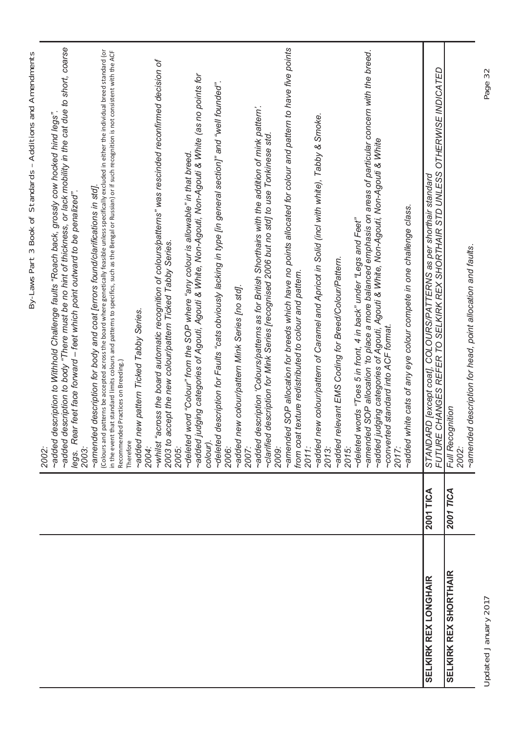|                              |           | By-Laws Part 3 Book of Standards - Additions and Amendments<br>2002:                                                                                                                                                                                                                                                                                                                                                                                      |
|------------------------------|-----------|-----------------------------------------------------------------------------------------------------------------------------------------------------------------------------------------------------------------------------------------------------------------------------------------------------------------------------------------------------------------------------------------------------------------------------------------------------------|
|                              |           | ~added description to body "There must be no hint of thickness, or lack mobility in the cat due to short, coarse<br>~added description to Withhold Challenge faults "Roach back, grossly cow hocked hind legs".<br>ar feet face forward - feet which point outward to be penalized".<br>legs. Re<br>2003:                                                                                                                                                 |
|                              |           | Colours and patterns be accepted across the board where genetically feasible unless specifically excluded in either the individual breed standard (or<br>that standard limits colours and patterns to specifics, such as the Bengal or Russian) or if such recognition is not consistent with the ACF<br>-amended description for body and coat [errors found/clarifications in std].<br>Recommended Practices on Breeding.)<br>in the event<br>Therefore |
|                              |           | ~added new pattern Ticked Tabby Series.<br>2004:                                                                                                                                                                                                                                                                                                                                                                                                          |
|                              |           | ~whilst "across the board automatic recognition of colours/patterns" was rescinded reconfirmed decision of<br>2003 to accept the new colour/pattern Ticked Tabby Series.<br>2005:                                                                                                                                                                                                                                                                         |
|                              |           | ~added judging categories of Agouti, Agouti & White, Non-Agouti, Non-Agouti & White (as no points for<br>~deleted word "Colour" from the SOP where "any colour is allowable" in that breed.<br>colour).                                                                                                                                                                                                                                                   |
|                              |           | description for Faults "cats obviously lacking in type [in general section]" and "well founded".<br>~deleted<br>2006:                                                                                                                                                                                                                                                                                                                                     |
|                              |           | ~added new colour/pattern Mink Series [no std].<br>2007:                                                                                                                                                                                                                                                                                                                                                                                                  |
|                              |           | -added description 'Colours/patterns as for British Shorthairs with the addition of mink pattern'.<br>carified description for Mink Series [recognised 2006 but no std] to use Tonkinese std~<br>2009:                                                                                                                                                                                                                                                    |
|                              |           | -amended SOP allocation for breeds which have no points allocated for colour and pattern to have five points<br>from coat texture redistributed to colour and pattern.<br>2011:                                                                                                                                                                                                                                                                           |
|                              |           | -added new colour/pattern of Caramel and Apricot in Solid (incl with white), Tabby & Smoke.<br>2013:                                                                                                                                                                                                                                                                                                                                                      |
|                              |           | ~added relevant EMS Coding for Breed/Colour/Pattern.<br>2015:                                                                                                                                                                                                                                                                                                                                                                                             |
|                              |           | ~amended SOP allocation 'to place a more balanced emphasis on areas of particular concern with the breed.<br>~deleted words "Toes 5 in front, 4 in back" under "Legs and Feet"                                                                                                                                                                                                                                                                            |
|                              |           | udging categories of Agouti, Agouti & White, Non-Agouti, Non-Agouti & White<br>~converted standard into ACF format.<br>$\sim$ added<br>2017:                                                                                                                                                                                                                                                                                                              |
|                              |           | -added white cats of any eye colour compete in one challenge class.                                                                                                                                                                                                                                                                                                                                                                                       |
| <b>SELKIRK REX LONGHAIR</b>  | 2001 TICA | FUTURE CHANGES REFER TO SELKIRK REX SHORTHAIR STD UNLESS OTHERWISE INDICATED<br>STANDARD [except coat], COLOURS/PATTERNS as per shorthair standard                                                                                                                                                                                                                                                                                                        |
| <b>SELKIRK REX SHORTHAIR</b> | 2001 TICA | Full Recognition<br>2002:                                                                                                                                                                                                                                                                                                                                                                                                                                 |
|                              |           | -amended description for head, point allocation and faults.                                                                                                                                                                                                                                                                                                                                                                                               |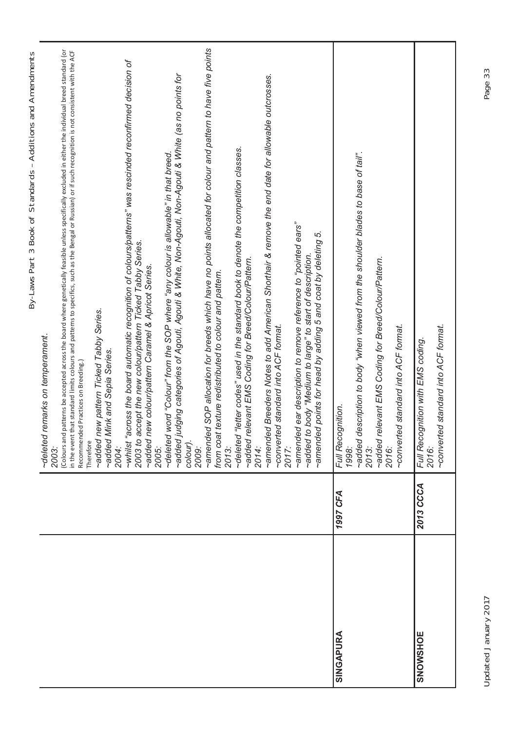|                  |           | By-Laws Part 3 Book of Standards - Additions and Amendments                                                                                                                                                                                                                                                                                                             |
|------------------|-----------|-------------------------------------------------------------------------------------------------------------------------------------------------------------------------------------------------------------------------------------------------------------------------------------------------------------------------------------------------------------------------|
|                  |           | ~deleted remarks on temperament.<br>2003:                                                                                                                                                                                                                                                                                                                               |
|                  |           | (Colours and patterns be accepted across the board where genetically feasible unless specifically excluded in either the individual breed standard (or<br>in the event that standard limits colours and patterns to specifics, such as the Bengal or Russian) or if such recognition is not consistent with the ACF<br>Recommended Practices on Breeding.)<br>Therefore |
|                  |           | ~added new pattern Ticked Tabby Series.                                                                                                                                                                                                                                                                                                                                 |
|                  |           | ~added Mink and Sepia Series.<br>2004:                                                                                                                                                                                                                                                                                                                                  |
|                  |           | ~whilst "across the board automatic recognition of colours/patterns" was rescinded reconfirmed decision of<br>2003 to accept the new colour/pattern Ticked Tabby Series.                                                                                                                                                                                                |
|                  |           | ~added new colour/pattern Caramel & Apricot Series.<br>2005:                                                                                                                                                                                                                                                                                                            |
|                  |           | word "Colour" from the SOP where "any colour is allowable" in that breed.<br>~deleted                                                                                                                                                                                                                                                                                   |
|                  |           | ~added judging categories of Agouti, Agouti & White, Non-Agouti, Non-Agouti & White (as no points for<br>colour).<br>2009:                                                                                                                                                                                                                                              |
|                  |           | ~amended SOP allocation for breeds which have no points allocated for colour and pattern to have five points                                                                                                                                                                                                                                                            |
|                  |           | texture redistributed to colour and pattern.<br>from coat<br>2013:                                                                                                                                                                                                                                                                                                      |
|                  |           | ~deleted "letter codes" used in the standard book to denote the competition classes.<br>~added relevant EMS Coding for Breed/Colour/Pattern.<br>2014:                                                                                                                                                                                                                   |
|                  |           | ~amended Breeders Notes to add American Shorthair & remove the end date for allowable outcrosses.                                                                                                                                                                                                                                                                       |
|                  |           | ~converted standard into ACF format.<br>2017:                                                                                                                                                                                                                                                                                                                           |
|                  |           |                                                                                                                                                                                                                                                                                                                                                                         |
|                  |           | ~amended ear description to remove reference to "pointed ears"<br>ςù<br>~amended points for head by adding 5 and coat by deleting<br>~added to body "Medium to large" to start of description.                                                                                                                                                                          |
|                  |           |                                                                                                                                                                                                                                                                                                                                                                         |
| <b>SINGAPURA</b> | 1997 CFA  | Full Recognition.<br>1998:                                                                                                                                                                                                                                                                                                                                              |
|                  |           | ~added description to body "when viewed from the shoulder blades to base of tail".                                                                                                                                                                                                                                                                                      |
|                  |           | ~added relevant EMS Coding for Breed/Colour/Pattern.<br>2013:                                                                                                                                                                                                                                                                                                           |
|                  |           | 2016:                                                                                                                                                                                                                                                                                                                                                                   |
|                  |           | ~converted standard into ACF format.                                                                                                                                                                                                                                                                                                                                    |
| <b>SNOWSHOE</b>  | 2013 CCCA | Full Recognition with EMS coding.                                                                                                                                                                                                                                                                                                                                       |
|                  |           | converted standard into ACF format.<br>2016:                                                                                                                                                                                                                                                                                                                            |
|                  |           |                                                                                                                                                                                                                                                                                                                                                                         |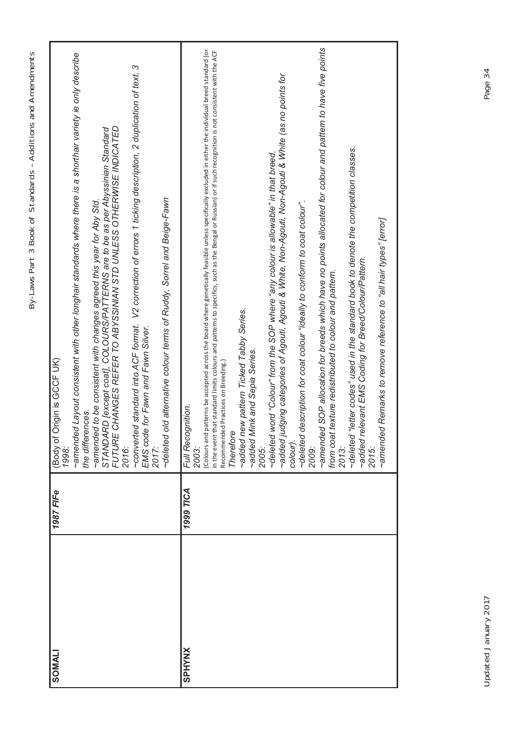| J                                                                                                                      |
|------------------------------------------------------------------------------------------------------------------------|
|                                                                                                                        |
|                                                                                                                        |
|                                                                                                                        |
|                                                                                                                        |
|                                                                                                                        |
| I                                                                                                                      |
|                                                                                                                        |
|                                                                                                                        |
|                                                                                                                        |
|                                                                                                                        |
|                                                                                                                        |
|                                                                                                                        |
| ׇ֚֕֡                                                                                                                   |
| :<br>;                                                                                                                 |
| i                                                                                                                      |
| l<br>۱                                                                                                                 |
|                                                                                                                        |
| ֧֖֧֧֧֧֧֧֧֧֧֧֧֧֧֧֧֚֚֚֚֚֚֚֚֚֚֚֚֚֚֚֚֚֝֝֝֓֝֬֝֓֝֬֝֓֝֬֝֬֝֓֝֬֝֓֝֬֝֬֝֬֝֬֝֬֝֬֝֬֝֬֝<br>֧֪֪֧֧֧֧֧֧֧֧֧֧֧֛֪֪֪֪֪֪֪֪֪֪֪֪֪֪֪֪֪֪֝֜֜<br>i |
|                                                                                                                        |
|                                                                                                                        |
|                                                                                                                        |
|                                                                                                                        |
|                                                                                                                        |
|                                                                                                                        |
|                                                                                                                        |
| I                                                                                                                      |
| Ì                                                                                                                      |
| $\frac{1}{2}$                                                                                                          |
|                                                                                                                        |
|                                                                                                                        |
|                                                                                                                        |
|                                                                                                                        |
|                                                                                                                        |
|                                                                                                                        |
|                                                                                                                        |
|                                                                                                                        |
| I<br>١                                                                                                                 |
| I                                                                                                                      |
|                                                                                                                        |
|                                                                                                                        |
|                                                                                                                        |
|                                                                                                                        |
| I<br>)                                                                                                                 |
| I<br>l                                                                                                                 |
| ١                                                                                                                      |
|                                                                                                                        |
| ۱                                                                                                                      |
|                                                                                                                        |
|                                                                                                                        |
|                                                                                                                        |
| ľ                                                                                                                      |
|                                                                                                                        |
| ֠                                                                                                                      |
|                                                                                                                        |
| ֠                                                                                                                      |
|                                                                                                                        |
| i                                                                                                                      |
| ١                                                                                                                      |
| Ï<br>l<br>I                                                                                                            |

| <b>LIANOS</b> | 1987 FIFe | (Body of Origin is GCCF UK)<br>1998:                                                                                                                                                                                                                                                                               |
|---------------|-----------|--------------------------------------------------------------------------------------------------------------------------------------------------------------------------------------------------------------------------------------------------------------------------------------------------------------------|
|               |           | ~amended Layout consistent with other longhair standards where there is a shorthair variety ie only describe<br>the differences.                                                                                                                                                                                   |
|               |           | ~amended to be consistent with changes agreed this year for Aby Std.                                                                                                                                                                                                                                               |
|               |           | STANDARD [except coat], COLOURS/PATTERNS are to be as per Abyssinian Standard<br>FUTURE CHANGES REFER TO ABYSSINIAN STD UNLESS OTHERWISE INDICATED<br>2016:                                                                                                                                                        |
|               |           | -converted standard into ACF format. V2 correction of errors 1 ticking description, 2 duplication of text, 3                                                                                                                                                                                                       |
|               |           | EMS code for Fawn and Fawn Silver.<br>2017:                                                                                                                                                                                                                                                                        |
|               |           | -deleted old alternative colour terms of Ruddy, Sorrel and Beige-Fawn                                                                                                                                                                                                                                              |
| <b>SPHYNX</b> | 1999 TICA | Full Recognition.                                                                                                                                                                                                                                                                                                  |
|               |           | 2003:                                                                                                                                                                                                                                                                                                              |
|               |           | Colours and patterns be accepted across the board where genetically feasible unless specifically excluded in either the individual breed standard (or<br>in the event that standard limits colours and patterns to specifics, such as the Bengal or Russian) or if such recognition is not consistent with the ACF |
|               |           | Recommended Practices on Breeding.)                                                                                                                                                                                                                                                                                |
|               |           | Therefore                                                                                                                                                                                                                                                                                                          |
|               |           | ~added new pattern Ticked Tabby Series.                                                                                                                                                                                                                                                                            |
|               |           | ~added Mink and Sepia Series.                                                                                                                                                                                                                                                                                      |
|               |           | 2005:                                                                                                                                                                                                                                                                                                              |
|               |           | word "Colour" from the SOP where "any colour is allowable" in that breed<br>~deleted                                                                                                                                                                                                                               |
|               |           | ~added judging categories of Agouti, Agouti & White, Non-Agouti, Non-Agouti & White (as no points for                                                                                                                                                                                                              |
|               |           | colour).                                                                                                                                                                                                                                                                                                           |
|               |           | ~deleted description for coat colour "ideally to conform to coat colour".<br>2009:                                                                                                                                                                                                                                 |
|               |           | ~amended SOP allocation for breeds which have no points allocated for colour and pattern to have five points                                                                                                                                                                                                       |
|               |           | texture redistributed to colour and pattern.<br>from coat                                                                                                                                                                                                                                                          |
|               |           | 2013:                                                                                                                                                                                                                                                                                                              |
|               |           | ~deleted "letter codes" used in the standard book to denote the competition classes.                                                                                                                                                                                                                               |
|               |           | ~added relevant EMS Coding for Breed/Colour/Pattern.                                                                                                                                                                                                                                                               |
|               |           | 2015:                                                                                                                                                                                                                                                                                                              |
|               |           | ~amended Remarks to remove reference to "all hair types" [error]                                                                                                                                                                                                                                                   |
|               |           |                                                                                                                                                                                                                                                                                                                    |
|               |           |                                                                                                                                                                                                                                                                                                                    |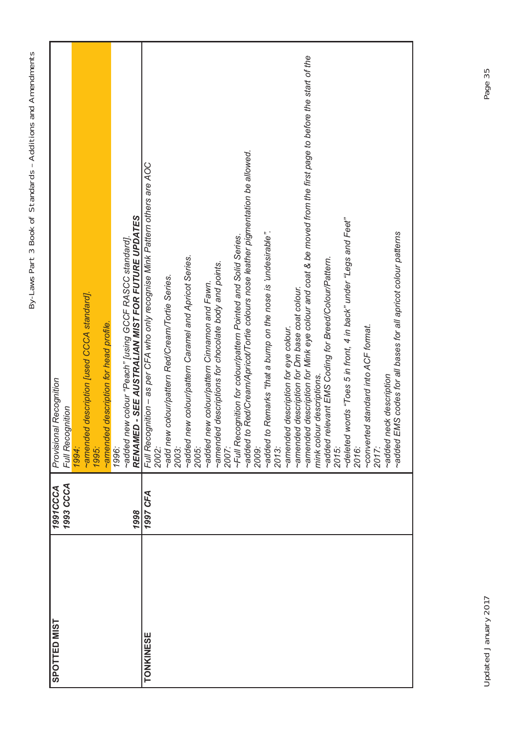| <b>SPOTTED MIST</b> | 1993 CCCA<br><b>1991CCCA</b> | Provisional Recognition<br>Full Recognition                                                                 |
|---------------------|------------------------------|-------------------------------------------------------------------------------------------------------------|
|                     |                              | 1994:                                                                                                       |
|                     |                              | ~amended description [used CCCA standard].                                                                  |
|                     |                              | <b>1995:</b>                                                                                                |
|                     |                              | amended description for head profile.                                                                       |
|                     |                              | 1996:                                                                                                       |
|                     | 1998                         | RENAMED - SEE AUSTRALIAN MIST FOR FUTURE UPDATES<br>~added new colour "Peach" [using GCCF RASCC standard]   |
| <b>TONKINESE</b>    | 1997 CFA                     | Full Recognition - as per CFA who only recognise Mink Pattern others are AOC                                |
|                     |                              | 2002:                                                                                                       |
|                     |                              | ~add new colour/pattern Red/Cream/Tortie Series.<br>2003:                                                   |
|                     |                              | ~added new colour/pattern Caramel and Apricot Series.                                                       |
|                     |                              | 2005:                                                                                                       |
|                     |                              | ~added new colour/pattern Cinnamon and Fawn.                                                                |
|                     |                              | ~amended descriptions for chocolate body and points.                                                        |
|                     |                              | 2007:                                                                                                       |
|                     |                              | ~Full Recognition for colour/pattern Pointed and Solid Series.                                              |
|                     |                              | ~added to Red/Cream/Apricot/Tortie colours nose leather pigmentation be allowed.                            |
|                     |                              | 2009:                                                                                                       |
|                     |                              | Remarks "that a bump on the nose is 'undesirable".<br>~added to                                             |
|                     |                              | 2013:                                                                                                       |
|                     |                              | ~amended description for eye colour.                                                                        |
|                     |                              | ~amended description for Dm base coat colour.                                                               |
|                     |                              | ~amended description for Mink eye colour and coat & be moved from the first page to before the start of the |
|                     |                              | mink colour descriptions.                                                                                   |
|                     |                              | ~added relevant EMS Coding for Breed/Colour/Pattern.                                                        |
|                     |                              | 2015:                                                                                                       |
|                     |                              | ~deleted words "Toes 5 in front, 4 in back" under "Legs and Feet"                                           |
|                     |                              | 2016:                                                                                                       |
|                     |                              | d standard into ACF format.<br>~converte                                                                    |
|                     |                              | 2017:                                                                                                       |
|                     |                              | ~added neck description                                                                                     |
|                     |                              | ~added EMS codes for all bases for all apricot colour patterns                                              |
|                     |                              |                                                                                                             |